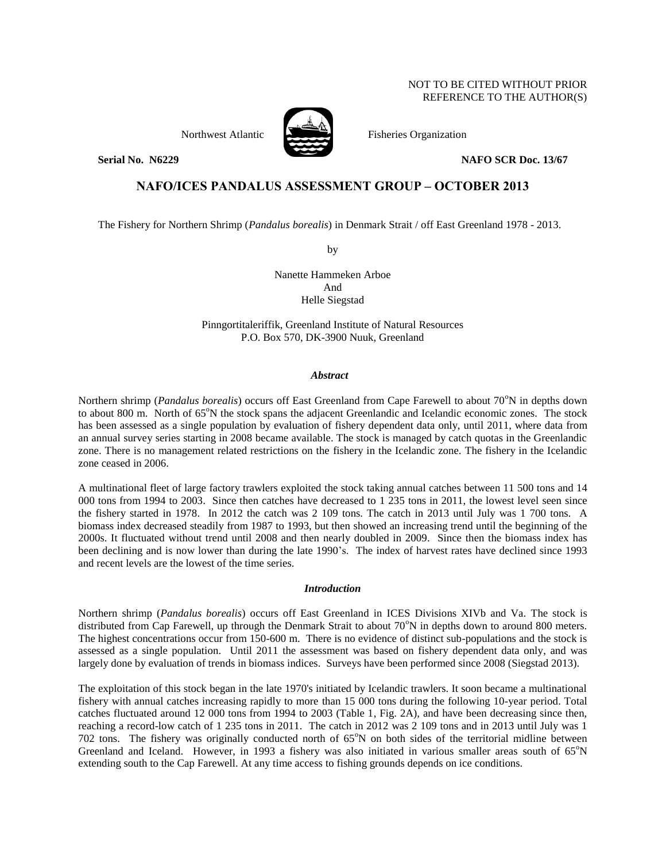# NOT TO BE CITED WITHOUT PRIOR REFERENCE TO THE AUTHOR(S)

Northwest Atlantic **No. 1989** Fisheries Organization



### **Serial No. N6229 NAFO SCR Doc. 13/67**

# **NAFO/ICES PANDALUS ASSESSMENT GROUP – OCTOBER 2013**

The Fishery for Northern Shrimp (*Pandalus borealis*) in Denmark Strait / off East Greenland 1978 - 2013.

by

Nanette Hammeken Arboe And Helle Siegstad

Pinngortitaleriffik, Greenland Institute of Natural Resources P.O. Box 570, DK-3900 Nuuk, Greenland

# *Abstract*

Northern shrimp (*Pandalus borealis*) occurs off East Greenland from Cape Farewell to about 70°N in depths down to about 800 m. North of 65°N the stock spans the adjacent Greenlandic and Icelandic economic zones. The stock has been assessed as a single population by evaluation of fishery dependent data only, until 2011, where data from an annual survey series starting in 2008 became available. The stock is managed by catch quotas in the Greenlandic zone. There is no management related restrictions on the fishery in the Icelandic zone. The fishery in the Icelandic zone ceased in 2006.

A multinational fleet of large factory trawlers exploited the stock taking annual catches between 11 500 tons and 14 000 tons from 1994 to 2003. Since then catches have decreased to 1 235 tons in 2011, the lowest level seen since the fishery started in 1978. In 2012 the catch was 2 109 tons. The catch in 2013 until July was 1 700 tons. A biomass index decreased steadily from 1987 to 1993, but then showed an increasing trend until the beginning of the 2000s. It fluctuated without trend until 2008 and then nearly doubled in 2009. Since then the biomass index has been declining and is now lower than during the late 1990's. The index of harvest rates have declined since 1993 and recent levels are the lowest of the time series.

# *Introduction*

Northern shrimp (*Pandalus borealis*) occurs off East Greenland in ICES Divisions XIVb and Va. The stock is distributed from Cap Farewell, up through the Denmark Strait to about  $70^{\circ}$ N in depths down to around 800 meters. The highest concentrations occur from 150-600 m. There is no evidence of distinct sub-populations and the stock is assessed as a single population. Until 2011 the assessment was based on fishery dependent data only, and was largely done by evaluation of trends in biomass indices. Surveys have been performed since 2008 (Siegstad 2013).

The exploitation of this stock began in the late 1970's initiated by Icelandic trawlers. It soon became a multinational fishery with annual catches increasing rapidly to more than 15 000 tons during the following 10-year period. Total catches fluctuated around 12 000 tons from 1994 to 2003 (Table 1, Fig. 2A), and have been decreasing since then, reaching a record-low catch of 1 235 tons in 2011. The catch in 2012 was 2 109 tons and in 2013 until July was 1 702 tons. The fishery was originally conducted north of  $65^\circ N$  on both sides of the territorial midline between Greenland and Iceland. However, in 1993 a fishery was also initiated in various smaller areas south of  $65^\circ$ N extending south to the Cap Farewell. At any time access to fishing grounds depends on ice conditions.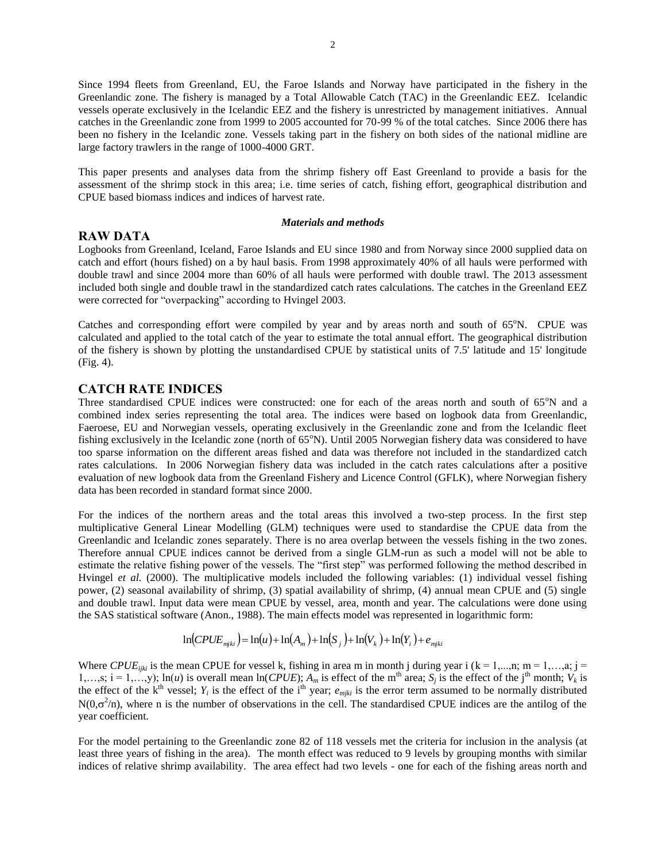Since 1994 fleets from Greenland, EU, the Faroe Islands and Norway have participated in the fishery in the Greenlandic zone. The fishery is managed by a Total Allowable Catch (TAC) in the Greenlandic EEZ. Icelandic vessels operate exclusively in the Icelandic EEZ and the fishery is unrestricted by management initiatives. Annual catches in the Greenlandic zone from 1999 to 2005 accounted for 70-99 % of the total catches. Since 2006 there has been no fishery in the Icelandic zone. Vessels taking part in the fishery on both sides of the national midline are large factory trawlers in the range of 1000-4000 GRT.

This paper presents and analyses data from the shrimp fishery off East Greenland to provide a basis for the assessment of the shrimp stock in this area; i.e. time series of catch, fishing effort, geographical distribution and CPUE based biomass indices and indices of harvest rate.

#### *Materials and methods*

# **RAW DATA**

Logbooks from Greenland, Iceland, Faroe Islands and EU since 1980 and from Norway since 2000 supplied data on catch and effort (hours fished) on a by haul basis. From 1998 approximately 40% of all hauls were performed with double trawl and since 2004 more than 60% of all hauls were performed with double trawl. The 2013 assessment included both single and double trawl in the standardized catch rates calculations. The catches in the Greenland EEZ were corrected for "overpacking" according to Hvingel 2003.

Catches and corresponding effort were compiled by year and by areas north and south of  $65^\circ$ N. CPUE was calculated and applied to the total catch of the year to estimate the total annual effort. The geographical distribution of the fishery is shown by plotting the unstandardised CPUE by statistical units of 7.5' latitude and 15' longitude (Fig. 4).

# **CATCH RATE INDICES**

Three standardised CPUE indices were constructed: one for each of the areas north and south of 65°N and a combined index series representing the total area. The indices were based on logbook data from Greenlandic, Faeroese, EU and Norwegian vessels, operating exclusively in the Greenlandic zone and from the Icelandic fleet fishing exclusively in the Icelandic zone (north of  $65^{\circ}$ N). Until 2005 Norwegian fishery data was considered to have too sparse information on the different areas fished and data was therefore not included in the standardized catch rates calculations. In 2006 Norwegian fishery data was included in the catch rates calculations after a positive evaluation of new logbook data from the Greenland Fishery and Licence Control (GFLK), where Norwegian fishery data has been recorded in standard format since 2000.

For the indices of the northern areas and the total areas this involved a two-step process. In the first step multiplicative General Linear Modelling (GLM) techniques were used to standardise the CPUE data from the Greenlandic and Icelandic zones separately. There is no area overlap between the vessels fishing in the two zones. Therefore annual CPUE indices cannot be derived from a single GLM-run as such a model will not be able to estimate the relative fishing power of the vessels. The "first step" was performed following the method described in Hvingel *et al.* (2000). The multiplicative models included the following variables: (1) individual vessel fishing power, (2) seasonal availability of shrimp, (3) spatial availability of shrimp, (4) annual mean CPUE and (5) single and double trawl. Input data were mean CPUE by vessel, area, month and year. The calculations were done using the SAS statistical software (Anon., 1988). The main effects model was represented in logarithmic form:

$$
\ln(CPUE_{miki}) = \ln(u) + \ln(A_m) + \ln(S_i) + \ln(V_k) + \ln(Y_i) + e_{miki}
$$

Where *CPUE*<sub>ijki</sub> is the mean CPUE for vessel k, fishing in area m in month j during year i (k = 1,...,n; m = 1,...,a; j = 1,…,s; i = 1,…,y); ln(*u*) is overall mean ln(*CPUE*);  $A_m$  is effect of the m<sup>th</sup> area;  $S_j$  is the effect of the j<sup>th</sup> month;  $V_k$  is the effect of the  $k<sup>th</sup>$  vessel;  $Y_i$  is the effect of the i<sup>th</sup> year;  $e_{mjki}$  is the error term assumed to be normally distributed  $N(0,\sigma^2/n)$ , where n is the number of observations in the cell. The standardised CPUE indices are the antilog of the year coefficient.

For the model pertaining to the Greenlandic zone 82 of 118 vessels met the criteria for inclusion in the analysis (at least three years of fishing in the area). The month effect was reduced to 9 levels by grouping months with similar indices of relative shrimp availability. The area effect had two levels - one for each of the fishing areas north and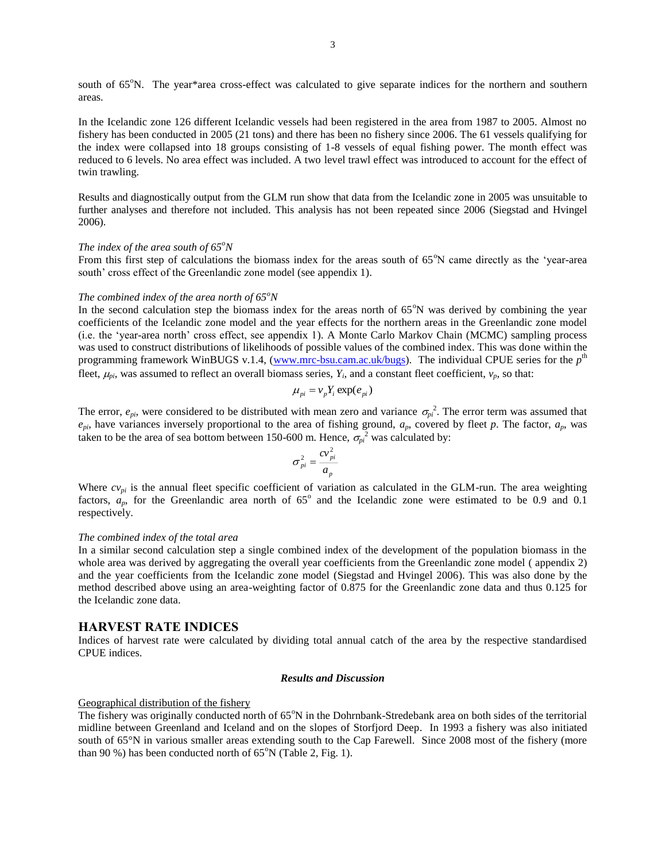south of 65°N. The year\*area cross-effect was calculated to give separate indices for the northern and southern areas.

In the Icelandic zone 126 different Icelandic vessels had been registered in the area from 1987 to 2005. Almost no fishery has been conducted in 2005 (21 tons) and there has been no fishery since 2006. The 61 vessels qualifying for the index were collapsed into 18 groups consisting of 1-8 vessels of equal fishing power. The month effect was reduced to 6 levels. No area effect was included. A two level trawl effect was introduced to account for the effect of twin trawling.

Results and diagnostically output from the GLM run show that data from the Icelandic zone in 2005 was unsuitable to further analyses and therefore not included. This analysis has not been repeated since 2006 (Siegstad and Hvingel 2006).

#### *The index of the area south of 65<sup>o</sup>N*

From this first step of calculations the biomass index for the areas south of  $65^\circ$ N came directly as the 'year-area south' cross effect of the Greenlandic zone model (see appendix 1).

#### *The combined index of the area north of 65<sup>o</sup>N*

In the second calculation step the biomass index for the areas north of  $65^{\circ}N$  was derived by combining the year coefficients of the Icelandic zone model and the year effects for the northern areas in the Greenlandic zone model (i.e. the 'year-area north' cross effect, see appendix 1). A Monte Carlo Markov Chain (MCMC) sampling process was used to construct distributions of likelihoods of possible values of the combined index. This was done within the programming framework WinBUGS v.1.4, [\(www.mrc-bsu.cam.ac.uk/bugs\)](http://www.mrc-bsu.cam.ac.uk/bugs). The individual CPUE series for the *p*<sup>th</sup> fleet,  $\mu_{pi}$ , was assumed to reflect an overall biomass series,  $Y_i$ , and a constant fleet coefficient,  $v_p$ , so that:

$$
\mu_{pi} = v_p Y_i \exp(e_{pi})
$$

The error,  $e_{pi}$ , were considered to be distributed with mean zero and variance  $\sigma_{pi}^2$ . The error term was assumed that  $e_{pi}$ , have variances inversely proportional to the area of fishing ground,  $a_p$ , covered by fleet *p*. The factor,  $a_p$ , was taken to be the area of sea bottom between 150-600 m. Hence,  $\sigma_{pi}^2$  was calculated by:

$$
\sigma_{pi}^2 = \frac{cv_{pi}^2}{a_p}
$$

Where  $cv_{pi}$  is the annual fleet specific coefficient of variation as calculated in the GLM-run. The area weighting factors,  $a_p$ , for the Greenlandic area north of  $65^\circ$  and the Icelandic zone were estimated to be 0.9 and 0.1 respectively.

#### *The combined index of the total area*

In a similar second calculation step a single combined index of the development of the population biomass in the whole area was derived by aggregating the overall year coefficients from the Greenlandic zone model (appendix 2) and the year coefficients from the Icelandic zone model (Siegstad and Hvingel 2006). This was also done by the method described above using an area-weighting factor of 0.875 for the Greenlandic zone data and thus 0.125 for the Icelandic zone data.

### **HARVEST RATE INDICES**

Indices of harvest rate were calculated by dividing total annual catch of the area by the respective standardised CPUE indices.

#### *Results and Discussion*

#### Geographical distribution of the fishery

The fishery was originally conducted north of  $65^{\circ}$ N in the Dohrnbank-Stredebank area on both sides of the territorial midline between Greenland and Iceland and on the slopes of Storfjord Deep. In 1993 a fishery was also initiated south of 65°N in various smaller areas extending south to the Cap Farewell. Since 2008 most of the fishery (more than 90 %) has been conducted north of  $65^{\circ}$ N (Table 2, Fig. 1).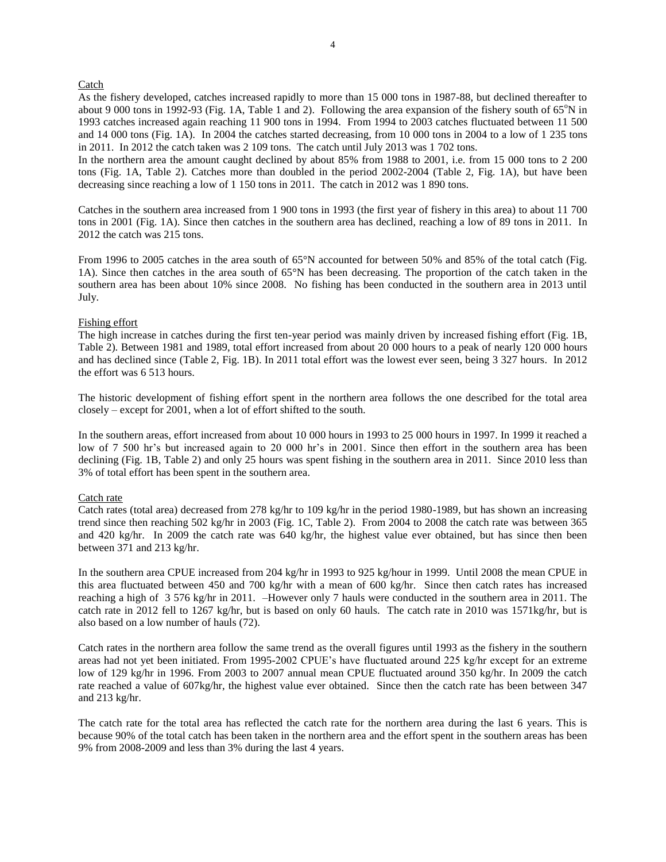### Catch

As the fishery developed, catches increased rapidly to more than 15 000 tons in 1987-88, but declined thereafter to about 9 000 tons in 1992-93 (Fig. 1A, Table 1 and 2). Following the area expansion of the fishery south of  $65^{\circ}$ N in 1993 catches increased again reaching 11 900 tons in 1994. From 1994 to 2003 catches fluctuated between 11 500 and 14 000 tons (Fig. 1A). In 2004 the catches started decreasing, from 10 000 tons in 2004 to a low of 1 235 tons in 2011. In 2012 the catch taken was 2 109 tons. The catch until July 2013 was 1 702 tons.

In the northern area the amount caught declined by about 85% from 1988 to 2001, i.e. from 15 000 tons to 2 200 tons (Fig. 1A, Table 2). Catches more than doubled in the period 2002-2004 (Table 2, Fig. 1A), but have been decreasing since reaching a low of 1 150 tons in 2011. The catch in 2012 was 1 890 tons.

Catches in the southern area increased from 1 900 tons in 1993 (the first year of fishery in this area) to about 11 700 tons in 2001 (Fig. 1A). Since then catches in the southern area has declined, reaching a low of 89 tons in 2011. In 2012 the catch was 215 tons.

From 1996 to 2005 catches in the area south of 65°N accounted for between 50% and 85% of the total catch (Fig. 1A). Since then catches in the area south of 65°N has been decreasing. The proportion of the catch taken in the southern area has been about 10% since 2008. No fishing has been conducted in the southern area in 2013 until July.

# Fishing effort

The high increase in catches during the first ten-year period was mainly driven by increased fishing effort (Fig. 1B, Table 2). Between 1981 and 1989, total effort increased from about 20 000 hours to a peak of nearly 120 000 hours and has declined since (Table 2, Fig. 1B). In 2011 total effort was the lowest ever seen, being 3 327 hours. In 2012 the effort was 6 513 hours.

The historic development of fishing effort spent in the northern area follows the one described for the total area closely – except for 2001, when a lot of effort shifted to the south.

In the southern areas, effort increased from about 10 000 hours in 1993 to 25 000 hours in 1997. In 1999 it reached a low of 7 500 hr's but increased again to 20 000 hr's in 2001. Since then effort in the southern area has been declining (Fig. 1B, Table 2) and only 25 hours was spent fishing in the southern area in 2011. Since 2010 less than 3% of total effort has been spent in the southern area.

# Catch rate

Catch rates (total area) decreased from 278 kg/hr to 109 kg/hr in the period 1980-1989, but has shown an increasing trend since then reaching 502 kg/hr in 2003 (Fig. 1C, Table 2). From 2004 to 2008 the catch rate was between 365 and 420 kg/hr. In 2009 the catch rate was 640 kg/hr, the highest value ever obtained, but has since then been between 371 and 213 kg/hr.

In the southern area CPUE increased from 204 kg/hr in 1993 to 925 kg/hour in 1999. Until 2008 the mean CPUE in this area fluctuated between 450 and 700 kg/hr with a mean of 600 kg/hr. Since then catch rates has increased reaching a high of 3 576 kg/hr in 2011. –However only 7 hauls were conducted in the southern area in 2011. The catch rate in 2012 fell to 1267 kg/hr, but is based on only 60 hauls. The catch rate in 2010 was 1571kg/hr, but is also based on a low number of hauls (72).

Catch rates in the northern area follow the same trend as the overall figures until 1993 as the fishery in the southern areas had not yet been initiated. From 1995-2002 CPUE's have fluctuated around 225 kg/hr except for an extreme low of 129 kg/hr in 1996. From 2003 to 2007 annual mean CPUE fluctuated around 350 kg/hr. In 2009 the catch rate reached a value of 607kg/hr, the highest value ever obtained. Since then the catch rate has been between 347 and 213 kg/hr.

The catch rate for the total area has reflected the catch rate for the northern area during the last 6 years. This is because 90% of the total catch has been taken in the northern area and the effort spent in the southern areas has been 9% from 2008-2009 and less than 3% during the last 4 years.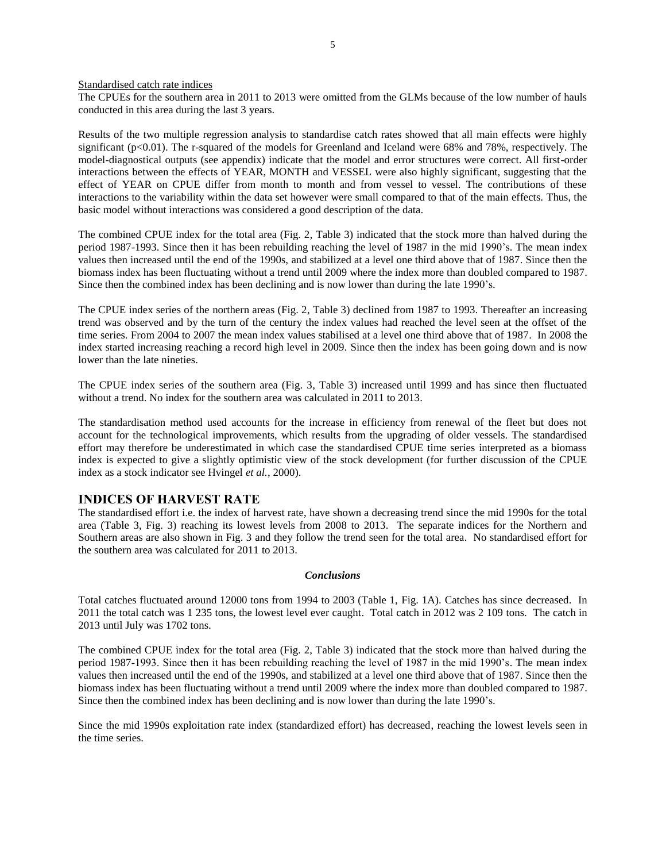Standardised catch rate indices

The CPUEs for the southern area in 2011 to 2013 were omitted from the GLMs because of the low number of hauls conducted in this area during the last 3 years.

Results of the two multiple regression analysis to standardise catch rates showed that all main effects were highly significant  $(p<0.01)$ . The r-squared of the models for Greenland and Iceland were 68% and 78%, respectively. The model-diagnostical outputs (see appendix) indicate that the model and error structures were correct. All first-order interactions between the effects of YEAR, MONTH and VESSEL were also highly significant, suggesting that the effect of YEAR on CPUE differ from month to month and from vessel to vessel. The contributions of these interactions to the variability within the data set however were small compared to that of the main effects. Thus, the basic model without interactions was considered a good description of the data.

The combined CPUE index for the total area (Fig. 2, Table 3) indicated that the stock more than halved during the period 1987-1993. Since then it has been rebuilding reaching the level of 1987 in the mid 1990's. The mean index values then increased until the end of the 1990s, and stabilized at a level one third above that of 1987. Since then the biomass index has been fluctuating without a trend until 2009 where the index more than doubled compared to 1987. Since then the combined index has been declining and is now lower than during the late 1990's.

The CPUE index series of the northern areas (Fig. 2, Table 3) declined from 1987 to 1993. Thereafter an increasing trend was observed and by the turn of the century the index values had reached the level seen at the offset of the time series. From 2004 to 2007 the mean index values stabilised at a level one third above that of 1987. In 2008 the index started increasing reaching a record high level in 2009. Since then the index has been going down and is now lower than the late nineties.

The CPUE index series of the southern area (Fig. 3, Table 3) increased until 1999 and has since then fluctuated without a trend. No index for the southern area was calculated in 2011 to 2013.

The standardisation method used accounts for the increase in efficiency from renewal of the fleet but does not account for the technological improvements, which results from the upgrading of older vessels. The standardised effort may therefore be underestimated in which case the standardised CPUE time series interpreted as a biomass index is expected to give a slightly optimistic view of the stock development (for further discussion of the CPUE index as a stock indicator see Hvingel *et al.*, 2000).

# **INDICES OF HARVEST RATE**

The standardised effort i.e. the index of harvest rate, have shown a decreasing trend since the mid 1990s for the total area (Table 3, Fig. 3) reaching its lowest levels from 2008 to 2013. The separate indices for the Northern and Southern areas are also shown in Fig. 3 and they follow the trend seen for the total area. No standardised effort for the southern area was calculated for 2011 to 2013.

#### *Conclusions*

Total catches fluctuated around 12000 tons from 1994 to 2003 (Table 1, Fig. 1A). Catches has since decreased. In 2011 the total catch was 1 235 tons, the lowest level ever caught. Total catch in 2012 was 2 109 tons. The catch in 2013 until July was 1702 tons.

The combined CPUE index for the total area (Fig. 2, Table 3) indicated that the stock more than halved during the period 1987-1993. Since then it has been rebuilding reaching the level of 1987 in the mid 1990's. The mean index values then increased until the end of the 1990s, and stabilized at a level one third above that of 1987. Since then the biomass index has been fluctuating without a trend until 2009 where the index more than doubled compared to 1987. Since then the combined index has been declining and is now lower than during the late 1990's.

Since the mid 1990s exploitation rate index (standardized effort) has decreased, reaching the lowest levels seen in the time series.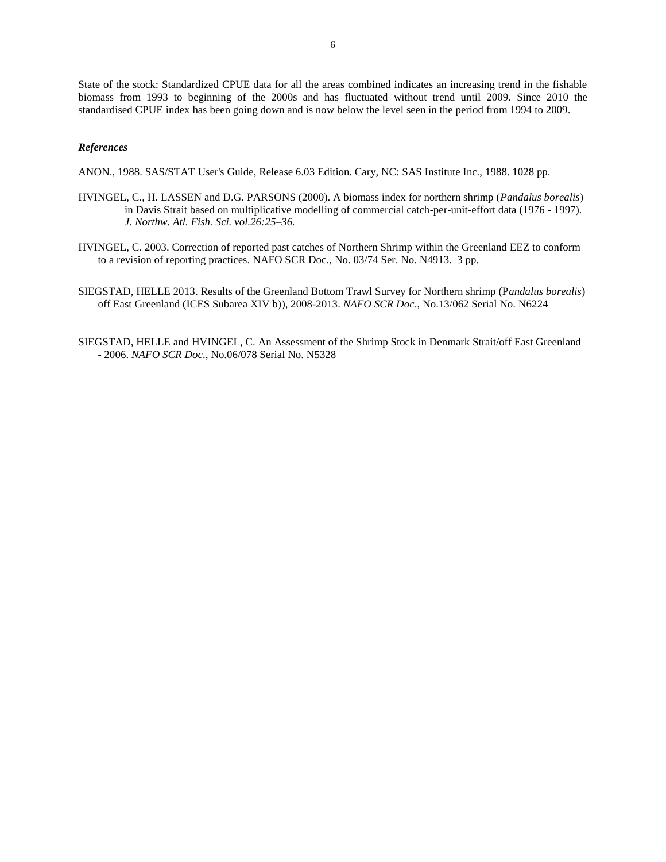State of the stock: Standardized CPUE data for all the areas combined indicates an increasing trend in the fishable biomass from 1993 to beginning of the 2000s and has fluctuated without trend until 2009. Since 2010 the standardised CPUE index has been going down and is now below the level seen in the period from 1994 to 2009.

# *References*

ANON., 1988. SAS/STAT User's Guide, Release 6.03 Edition. Cary, NC: SAS Institute Inc., 1988. 1028 pp.

- HVINGEL, C., H. LASSEN and D.G. PARSONS (2000). A biomass index for northern shrimp (*Pandalus borealis*) in Davis Strait based on multiplicative modelling of commercial catch-per-unit-effort data (1976 - 1997). *J. Northw. Atl. Fish. Sci. vol.26:25–36.*
- HVINGEL, C. 2003. Correction of reported past catches of Northern Shrimp within the Greenland EEZ to conform to a revision of reporting practices. NAFO SCR Doc., No. 03/74 Ser. No. N4913. 3 pp.
- SIEGSTAD, HELLE 2013. Results of the Greenland Bottom Trawl Survey for Northern shrimp (P*andalus borealis*) off East Greenland (ICES Subarea XIV b)), 2008-2013. *NAFO SCR Doc*., No.13/062 Serial No. N6224
- SIEGSTAD, HELLE and HVINGEL, C. An Assessment of the Shrimp Stock in Denmark Strait/off East Greenland - 2006. *NAFO SCR Doc*., No.06/078 Serial No. N5328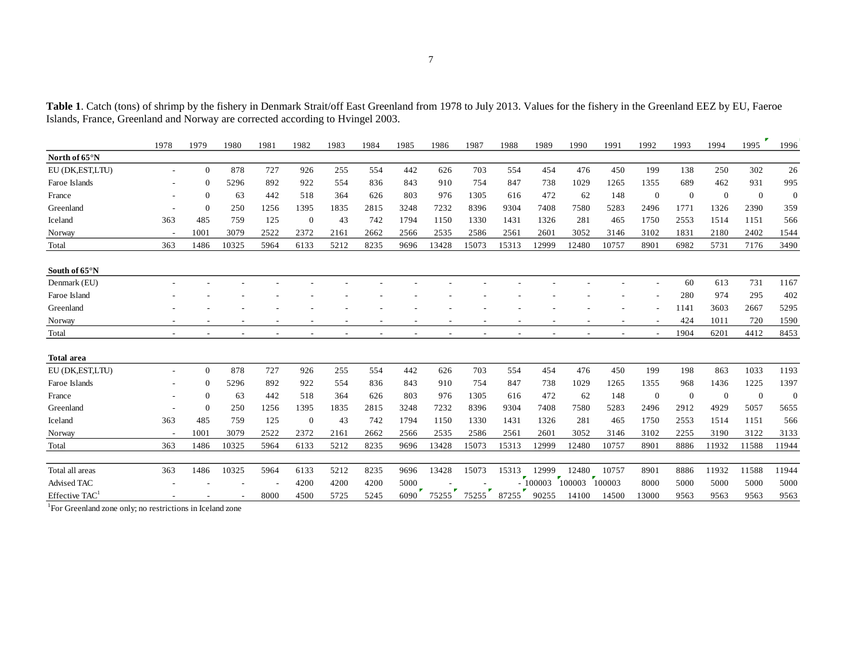Table 1. Catch (tons) of shrimp by the fishery in Denmark Strait/off East Greenland from 1978 to July 2013. Values for the fishery in the Greenland EEZ by EU, Faeroe Islands, France, Greenland and Norway are corrected according to Hvingel 2003.

|                            | 1978                     | 1979           | 1980  | 1981 | 1982         | 1983 | 1984 | 1985                 | 1986  | 1987  | 1988  | 1989      | 1990   | 1991   | 1992           | 1993           | 1994           | z<br>1995      | 1996     |
|----------------------------|--------------------------|----------------|-------|------|--------------|------|------|----------------------|-------|-------|-------|-----------|--------|--------|----------------|----------------|----------------|----------------|----------|
| North of 65°N              |                          |                |       |      |              |      |      |                      |       |       |       |           |        |        |                |                |                |                |          |
| EU (DK,EST,LTU)            | $\overline{\phantom{a}}$ | $\Omega$       | 878   | 727  | 926          | 255  | 554  | 442                  | 626   | 703   | 554   | 454       | 476    | 450    | 199            | 138            | 250            | 302            | 26       |
| Faroe Islands              |                          |                | 5296  | 892  | 922          | 554  | 836  | 843                  | 910   | 754   | 847   | 738       | 1029   | 1265   | 1355           | 689            | 462            | 931            | 995      |
| France                     |                          | $\Omega$       | 63    | 442  | 518          | 364  | 626  | 803                  | 976   | 1305  | 616   | 472       | 62     | 148    | $\mathbf{0}$   | $\overline{0}$ | $\overline{0}$ | $\overline{0}$ | $\theta$ |
| Greenland                  | $\overline{\phantom{a}}$ | $\mathbf{0}$   | 250   | 1256 | 1395         | 1835 | 2815 | 3248                 | 7232  | 8396  | 9304  | 7408      | 7580   | 5283   | 2496           | 1771           | 1326           | 2390           | 359      |
| Iceland                    | 363                      | 485            | 759   | 125  | $\bf{0}$     | 43   | 742  | 1794                 | 1150  | 1330  | 1431  | 1326      | 281    | 465    | 1750           | 2553           | 1514           | 1151           | 566      |
| Norway                     | $\sim$                   | 1001           | 3079  | 2522 | 2372         | 2161 | 2662 | 2566                 | 2535  | 2586  | 2561  | 2601      | 3052   | 3146   | 3102           | 1831           | 2180           | 2402           | 1544     |
| Total                      | 363                      | 1486           | 10325 | 5964 | 6133         | 5212 | 8235 | 9696                 | 13428 | 15073 | 15313 | 12999     | 12480  | 10757  | 8901           | 6982           | 5731           | 7176           | 3490     |
| South of 65°N              |                          |                |       |      |              |      |      |                      |       |       |       |           |        |        |                |                |                |                |          |
| Denmark (EU)               |                          |                |       |      |              |      |      |                      |       |       |       |           |        |        |                | 60             | 613            | 731            | 1167     |
| Faroe Island               |                          |                |       |      |              |      |      |                      |       |       |       |           |        |        |                | 280            | 974            | 295            | 402      |
| Greenland                  |                          |                |       |      |              |      |      |                      |       |       |       |           |        |        |                | 1141           | 3603           | 2667           | 5295     |
| Norway                     |                          |                |       |      |              |      |      |                      |       |       |       |           |        |        |                | 424            | 1011           | 720            | 1590     |
| Total                      | $\overline{\phantom{a}}$ |                |       |      |              |      |      |                      |       |       |       |           |        |        | $\overline{a}$ | 1904           | 6201           | 4412           | 8453     |
| <b>Total area</b>          |                          |                |       |      |              |      |      |                      |       |       |       |           |        |        |                |                |                |                |          |
| EU (DK,EST,LTU)            |                          | $\overline{0}$ | 878   | 727  | 926          | 255  | 554  | 442                  | 626   | 703   | 554   | 454       | 476    | 450    | 199            | 198            | 863            | 1033           | 1193     |
| Faroe Islands              |                          | 0              | 5296  | 892  | 922          | 554  | 836  | 843                  | 910   | 754   | 847   | 738       | 1029   | 1265   | 1355           | 968            | 1436           | 1225           | 1397     |
| France                     |                          | $\mathbf{0}$   | 63    | 442  | 518          | 364  | 626  | 803                  | 976   | 1305  | 616   | 472       | 62     | 148    | $\mathbf{0}$   | $\overline{0}$ | $\overline{0}$ | $\overline{0}$ | $\theta$ |
| Greenland                  |                          | $\Omega$       | 250   | 1256 | 1395         | 1835 | 2815 | 3248                 | 7232  | 8396  | 9304  | 7408      | 7580   | 5283   | 2496           | 2912           | 4929           | 5057           | 5655     |
| Iceland                    | 363                      | 485            | 759   | 125  | $\mathbf{0}$ | 43   | 742  | 1794                 | 1150  | 1330  | 1431  | 1326      | 281    | 465    | 1750           | 2553           | 1514           | 1151           | 566      |
| Norway                     |                          | 1001           | 3079  | 2522 | 2372         | 2161 | 2662 | 2566                 | 2535  | 2586  | 2561  | 2601      | 3052   | 3146   | 3102           | 2255           | 3190           | 3122           | 3133     |
| Total                      | 363                      | 1486           | 10325 | 5964 | 6133         | 5212 | 8235 | 9696                 | 13428 | 15073 | 15313 | 12999     | 12480  | 10757  | 8901           | 8886           | 11932          | 11588          | 11944    |
| Total all areas            | 363                      | 1486           | 10325 | 5964 | 6133         | 5212 | 8235 | 9696                 | 13428 | 15073 | 15313 | 12999     | 12480  | 10757  | 8901           | 8886           | 11932          | 11588          | 11944    |
| Advised TAC                |                          |                |       |      | 4200         | 4200 | 4200 | 5000                 |       |       |       | $-100003$ | 100003 | 100003 | 8000           | 5000           | 5000           | 5000           | 5000     |
| Effective TAC <sup>1</sup> |                          |                |       | 8000 | 4500         | 5725 | 5245 | $\mathbf{r}$<br>6090 | 75255 | 75255 | 87255 | 90255     | 14100  | 14500  | 13000          | 9563           | 9563           | 9563           | 9563     |
|                            |                          |                |       |      |              |      |      |                      |       |       |       |           |        |        |                |                |                |                |          |

<sup>1</sup>For Greenland zone only; no restrictions in Iceland zone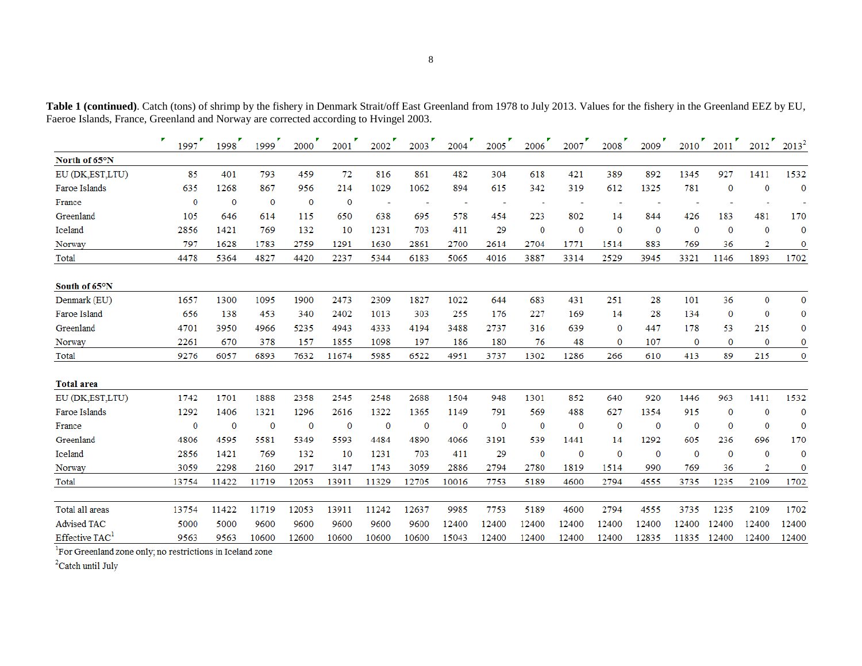|                            | ×<br>1997    | 1998         | 1999         | 2000        | 2001         | 2002         | 2003         | 2004     | 2005        | 2006         | 2007        | 2008         | 2009         | 2010        | 2011         | 2012         | $2013^2$     |
|----------------------------|--------------|--------------|--------------|-------------|--------------|--------------|--------------|----------|-------------|--------------|-------------|--------------|--------------|-------------|--------------|--------------|--------------|
| North of 65°N              |              |              |              |             |              |              |              |          |             |              |             |              |              |             |              |              |              |
| EU (DK,EST,LTU)            | 85           | 401          | 793          | 459         | 72           | 816          | 861          | 482      | 304         | 618          | 421         | 389          | 892          | 1345        | 927          | 1411         | 1532         |
| Faroe Islands              | 635          | 1268         | 867          | 956         | 214          | 1029         | 1062         | 894      | 615         | 342          | 319         | 612          | 1325         | 781         | $\bf{0}$     | $\bf{0}$     | $\mathbf 0$  |
| France                     | $\mathbf 0$  | $\mathbf 0$  | $\mathbf{0}$ | $\bf{0}$    | $\bf{0}$     |              |              | ÷        | ÷           |              | ÷           |              |              |             |              |              |              |
| Greenland                  | 105          | 646          | 614          | 115         | 650          | 638          | 695          | 578      | 454         | 223          | 802         | 14           | 844          | 426         | 183          | 481          | 170          |
| Iceland                    | 2856         | 1421         | 769          | 132         | 10           | 1231         | 703          | 411      | 29          | $\bf{0}$     | $\bf{0}$    | $\mathbf 0$  | $\bf{0}$     | $\Omega$    | $\bf{0}$     | $\bf{0}$     | $\Omega$     |
| Norway                     | 797          | 1628         | 1783         | 2759        | 1291         | 1630         | 2861         | 2700     | 2614        | 2704         | 1771        | 1514         | 883          | 769         | 36           | 2            | 0            |
| Total                      | 4478         | 5364         | 4827         | 4420        | 2237         | 5344         | 6183         | 5065     | 4016        | 3887         | 3314        | 2529         | 3945         | 3321        | 1146         | 1893         | 1702         |
| South of 65°N              |              |              |              |             |              |              |              |          |             |              |             |              |              |             |              |              |              |
| Denmark (EU)               | 1657         | 1300         | 1095         | 1900        | 2473         | 2309         | 1827         | 1022     | 644         | 683          | 431         | 251          | 28           | 101         | 36           | $\bf{0}$     | $\bf{0}$     |
| Faroe Island               | 656          | 138          | 453          | 340         | 2402         | 1013         | 303          | 255      | 176         | 227          | 169         | 14           | 28           | 134         | $\mathbf{0}$ | $\mathbf{0}$ | $\mathbf 0$  |
| Greenland                  | 4701         | 3950         | 4966         | 5235        | 4943         | 4333         | 4194         | 3488     | 2737        | 316          | 639         | $\bf{0}$     | 447          | 178         | 53           | 215          | $\bf{0}$     |
| Norway                     | 2261         | 670          | 378          | 157         | 1855         | 1098         | 197          | 186      | 180         | 76           | 48          | $\bf{0}$     | 107          | $\bf{0}$    | $\bf{0}$     | $\bf{0}$     | $\bf{0}$     |
| Total                      | 9276         | 6057         | 6893         | 7632        | 11674        | 5985         | 6522         | 4951     | 3737        | 1302         | 1286        | 266          | 610          | 413         | 89           | 215          | $\mathbf{0}$ |
| <b>Total area</b>          |              |              |              |             |              |              |              |          |             |              |             |              |              |             |              |              |              |
| EU (DK,EST,LTU)            | 1742         | 1701         | 1888         | 2358        | 2545         | 2548         | 2688         | 1504     | 948         | 1301         | 852         | 640          | 920          | 1446        | 963          | 1411         | 1532         |
| Faroe Islands              | 1292         | 1406         | 1321         | 1296        | 2616         | 1322         | 1365         | 1149     | 791         | 569          | 488         | 627          | 1354         | 915         | $\bf{0}$     | $\bf{0}$     | $\mathbf{0}$ |
| France                     | $\bf{0}$     | $\mathbf{0}$ | $\bf{0}$     | $\mathbf 0$ | $\mathbf{0}$ | $\mathbf{0}$ | $\mathbf{0}$ | $\bf{0}$ | $\mathbf 0$ | $\bf{0}$     | $\mathbf 0$ | $\mathbf{0}$ | $\bf{0}$     | $\mathbf 0$ | $\bf{0}$     | $\bf{0}$     | $\mathbf{0}$ |
| Greenland                  | 4806         | 4595         | 5581         | 5349        | 5593         | 4484         | 4890         | 4066     | 3191        | 539          | 1441        | 14           | 1292         | 605         | 236          | 696          | 170          |
| Iceland                    | 2856         | 1421         | 769          | 132         | 10           | 1231         | 703          | 411      | 29          | $\mathbf{0}$ | $\bf{0}$    | $\mathbf 0$  | $\mathbf{0}$ | $\bf{0}$    | $\bf{0}$     | $\bf{0}$     | $\theta$     |
| Norway                     | 3059         | 2298         | 2160         | 2917        | 3147         | 1743         | 3059         | 2886     | 2794        | 2780         | 1819        | 1514         | 990          | 769         | 36           | 2            | $\bf{0}$     |
| Total                      | 13754        | 11422        | 11719        | 12053       | 13911        | 11329        | 12705        | 10016    | 7753        | 5189         | 4600        | 2794         | 4555         | 3735        | 1235         | 2109         | 1702         |
| Total all areas            | 13754        | 11422        | 11719        | 12053       | 13911        | 11242        | 12637        | 9985     | 7753        | 5189         | 4600        | 2794         | 4555         | 3735        | 1235         | 2109         | 1702         |
| <b>Advised TAC</b>         | 5000         | 5000         | 9600         | 9600        | 9600         | 9600         | 9600         | 12400    | 12400       | 12400        | 12400       | 12400        | 12400        | 12400       | 12400        | 12400        | 12400        |
| Effective TAC <sup>1</sup> | 9563         | 9563         | 10600        | 12600       | 10600        | 10600        | 10600        | 15043    | 12400       | 12400        | 12400       | 12400        | 12835        | 11835       | 12400        | 12400        | 12400        |
| $1 -$<br><b>Contract</b>   | $2.14 - 2.4$ | $\sim$       |              |             |              |              |              |          |             |              |             |              |              |             |              |              |              |

Table 1 (continued). Catch (tons) of shrimp by the fishery in Denmark Strait/off East Greenland from 1978 to July 2013. Values for the fishery in the Greenland EEZ by EU, Faeroe Islands, France, Greenland and Norway are corrected according to Hvingel 2003.

<sup>1</sup>For Greenland zone only; no restrictions in Iceland zone

 $^2$  Catch until July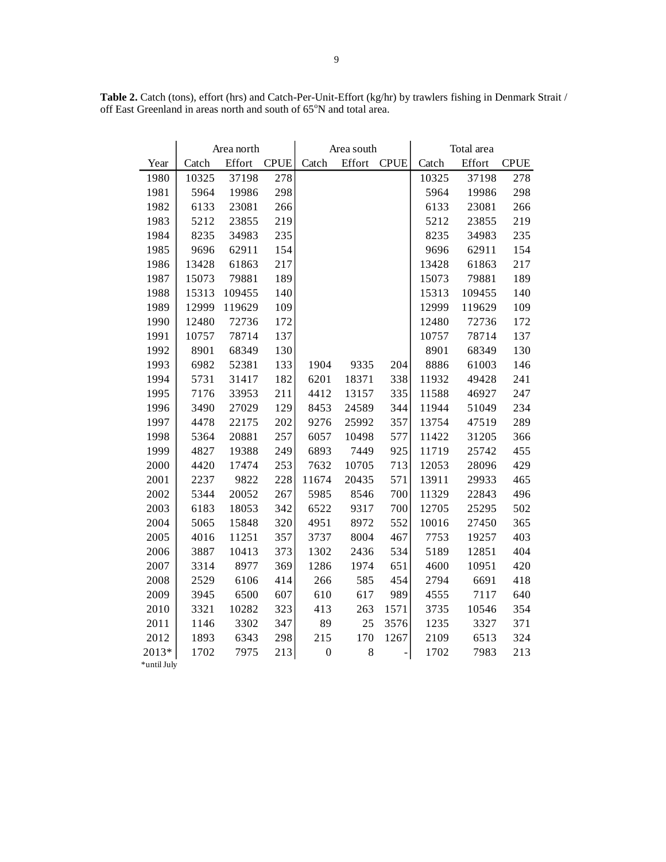|             |       | Area north |             |                  | Area south |             | Total area |        |             |  |
|-------------|-------|------------|-------------|------------------|------------|-------------|------------|--------|-------------|--|
| Year        | Catch | Effort     | <b>CPUE</b> | Catch            | Effort     | <b>CPUE</b> | Catch      | Effort | <b>CPUE</b> |  |
| 1980        | 10325 | 37198      | 278         |                  |            |             | 10325      | 37198  | 278         |  |
| 1981        | 5964  | 19986      | 298         |                  |            |             | 5964       | 19986  | 298         |  |
| 1982        | 6133  | 23081      | 266         |                  |            |             | 6133       | 23081  | 266         |  |
| 1983        | 5212  | 23855      | 219         |                  |            |             | 5212       | 23855  | 219         |  |
| 1984        | 8235  | 34983      | 235         |                  |            |             | 8235       | 34983  | 235         |  |
| 1985        | 9696  | 62911      | 154         |                  |            |             | 9696       | 62911  | 154         |  |
| 1986        | 13428 | 61863      | 217         |                  |            |             | 13428      | 61863  | 217         |  |
| 1987        | 15073 | 79881      | 189         |                  |            |             | 15073      | 79881  | 189         |  |
| 1988        | 15313 | 109455     | 140         |                  |            |             | 15313      | 109455 | 140         |  |
| 1989        | 12999 | 119629     | 109         |                  |            |             | 12999      | 119629 | 109         |  |
| 1990        | 12480 | 72736      | 172         |                  |            |             | 12480      | 72736  | 172         |  |
| 1991        | 10757 | 78714      | 137         |                  |            |             | 10757      | 78714  | 137         |  |
| 1992        | 8901  | 68349      | 130         |                  |            |             | 8901       | 68349  | 130         |  |
| 1993        | 6982  | 52381      | 133         | 1904             | 9335       | 204         | 8886       | 61003  | 146         |  |
| 1994        | 5731  | 31417      | 182         | 6201             | 18371      | 338         | 11932      | 49428  | 241         |  |
| 1995        | 7176  | 33953      | 211         | 4412             | 13157      | 335         | 11588      | 46927  | 247         |  |
| 1996        | 3490  | 27029      | 129         | 8453             | 24589      | 344         | 11944      | 51049  | 234         |  |
| 1997        | 4478  | 22175      | 202         | 9276             | 25992      | 357         | 13754      | 47519  | 289         |  |
| 1998        | 5364  | 20881      | 257         | 6057             | 10498      | 577         | 11422      | 31205  | 366         |  |
| 1999        | 4827  | 19388      | 249         | 6893             | 7449       | 925         | 11719      | 25742  | 455         |  |
| 2000        | 4420  | 17474      | 253         | 7632             | 10705      | 713         | 12053      | 28096  | 429         |  |
| 2001        | 2237  | 9822       | 228         | 11674            | 20435      | 571         | 13911      | 29933  | 465         |  |
| 2002        | 5344  | 20052      | 267         | 5985             | 8546       | 700         | 11329      | 22843  | 496         |  |
| 2003        | 6183  | 18053      | 342         | 6522             | 9317       | 700         | 12705      | 25295  | 502         |  |
| 2004        | 5065  | 15848      | 320         | 4951             | 8972       | 552         | 10016      | 27450  | 365         |  |
| 2005        | 4016  | 11251      | 357         | 3737             | 8004       | 467         | 7753       | 19257  | 403         |  |
| 2006        | 3887  | 10413      | 373         | 1302             | 2436       | 534         | 5189       | 12851  | 404         |  |
| 2007        | 3314  | 8977       | 369         | 1286             | 1974       | 651         | 4600       | 10951  | 420         |  |
| 2008        | 2529  | 6106       | 414         | 266              | 585        | 454         | 2794       | 6691   | 418         |  |
| 2009        | 3945  | 6500       | 607         | 610              | 617        | 989         | 4555       | 7117   | 640         |  |
| 2010        | 3321  | 10282      | 323         | 413              | 263        | 1571        | 3735       | 10546  | 354         |  |
| 2011        | 1146  | 3302       | 347         | 89               | 25         | 3576        | 1235       | 3327   | 371         |  |
| 2012        | 1893  | 6343       | 298         | 215              | 170        | 1267        | 2109       | 6513   | 324         |  |
| 2013*       | 1702  | 7975       | 213         | $\boldsymbol{0}$ | $8\,$      |             | 1702       | 7983   | 213         |  |
| *until July |       |            |             |                  |            |             |            |        |             |  |

**Table 2.** Catch (tons), effort (hrs) and Catch-Per-Unit-Effort (kg/hr) by trawlers fishing in Denmark Strait / off East Greenland in areas north and south of 65°N and total area.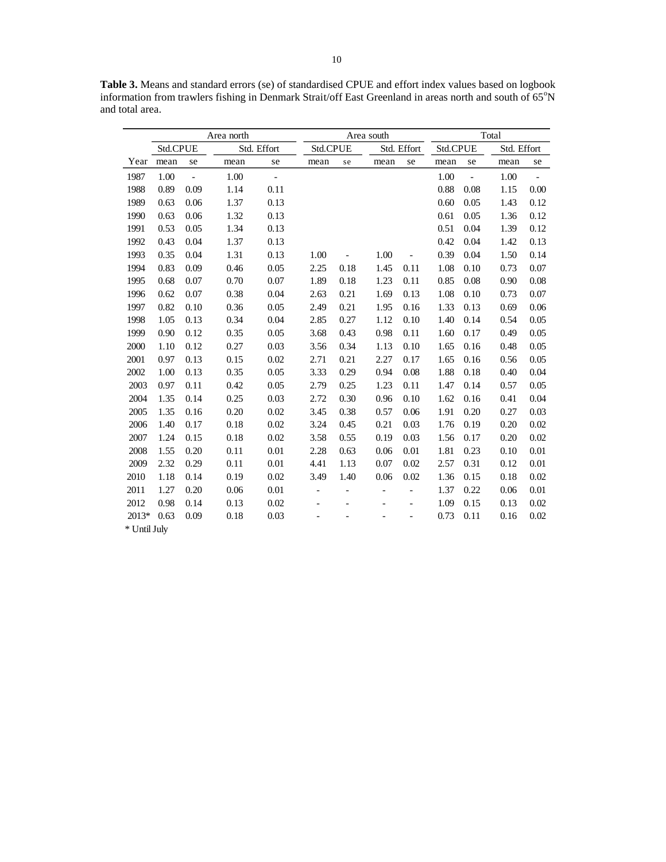**Table 3.** Means and standard errors (se) of standardised CPUE and effort index values based on logbook information from trawlers fishing in Denmark Strait/off East Greenland in areas north and south of  $65^{\circ}N$ and total area.

|              | Area north |                |      |                |                          | Area south        |                | Total                    |          |                     |             |      |
|--------------|------------|----------------|------|----------------|--------------------------|-------------------|----------------|--------------------------|----------|---------------------|-------------|------|
|              | Std.CPUE   |                |      | Std. Effort    | Std.CPUE                 |                   |                | Std. Effort              | Std.CPUE |                     | Std. Effort |      |
| Year         | mean       | se             | mean | se             | mean                     | se                | mean           | se                       | mean     | se                  | mean        | se   |
| 1987         | 1.00       | $\overline{a}$ | 1.00 | $\blacksquare$ |                          |                   |                |                          | 1.00     | $\bar{\phantom{a}}$ | 1.00        |      |
| 1988         | 0.89       | 0.09           | 1.14 | 0.11           |                          |                   |                |                          | 0.88     | 0.08                | 1.15        | 0.00 |
| 1989         | 0.63       | 0.06           | 1.37 | 0.13           |                          |                   |                |                          | 0.60     | 0.05                | 1.43        | 0.12 |
| 1990         | 0.63       | 0.06           | 1.32 | 0.13           |                          |                   |                |                          | 0.61     | 0.05                | 1.36        | 0.12 |
| 1991         | 0.53       | 0.05           | 1.34 | 0.13           |                          |                   |                |                          | 0.51     | 0.04                | 1.39        | 0.12 |
| 1992         | 0.43       | 0.04           | 1.37 | 0.13           |                          |                   |                |                          | 0.42     | 0.04                | 1.42        | 0.13 |
| 1993         | 0.35       | 0.04           | 1.31 | 0.13           | 1.00                     |                   | 1.00           | $\overline{a}$           | 0.39     | 0.04                | 1.50        | 0.14 |
| 1994         | 0.83       | 0.09           | 0.46 | 0.05           | 2.25                     | 0.18              | 1.45           | 0.11                     | 1.08     | 0.10                | 0.73        | 0.07 |
| 1995         | 0.68       | 0.07           | 0.70 | 0.07           | 1.89                     | 0.18              | 1.23           | 0.11                     | 0.85     | 0.08                | 0.90        | 0.08 |
| 1996         | 0.62       | 0.07           | 0.38 | 0.04           | 2.63                     | 0.21              | 1.69           | 0.13                     | 1.08     | 0.10                | 0.73        | 0.07 |
| 1997         | 0.82       | 0.10           | 0.36 | 0.05           | 2.49                     | 0.21              | 1.95           | 0.16                     | 1.33     | 0.13                | 0.69        | 0.06 |
| 1998         | 1.05       | 0.13           | 0.34 | 0.04           | 2.85                     | 0.27              | 1.12           | 0.10                     | 1.40     | 0.14                | 0.54        | 0.05 |
| 1999         | 0.90       | 0.12           | 0.35 | 0.05           | 3.68                     | 0.43              | 0.98           | 0.11                     | 1.60     | 0.17                | 0.49        | 0.05 |
| 2000         | 1.10       | 0.12           | 0.27 | 0.03           | 3.56                     | 0.34              | 1.13           | 0.10                     | 1.65     | 0.16                | 0.48        | 0.05 |
| 2001         | 0.97       | 0.13           | 0.15 | 0.02           | 2.71                     | 0.21              | 2.27           | 0.17                     | 1.65     | 0.16                | 0.56        | 0.05 |
| 2002         | 1.00       | 0.13           | 0.35 | 0.05           | 3.33                     | 0.29              | 0.94           | 0.08                     | 1.88     | 0.18                | 0.40        | 0.04 |
| 2003         | 0.97       | 0.11           | 0.42 | 0.05           | 2.79                     | 0.25              | 1.23           | 0.11                     | 1.47     | 0.14                | 0.57        | 0.05 |
| 2004         | 1.35       | 0.14           | 0.25 | 0.03           | 2.72                     | 0.30              | 0.96           | 0.10                     | 1.62     | 0.16                | 0.41        | 0.04 |
| 2005         | 1.35       | 0.16           | 0.20 | 0.02           | 3.45                     | 0.38              | 0.57           | 0.06                     | 1.91     | 0.20                | 0.27        | 0.03 |
| 2006         | 1.40       | 0.17           | 0.18 | 0.02           | 3.24                     | 0.45              | 0.21           | 0.03                     | 1.76     | 0.19                | 0.20        | 0.02 |
| 2007         | 1.24       | 0.15           | 0.18 | 0.02           | 3.58                     | 0.55              | 0.19           | 0.03                     | 1.56     | 0.17                | 0.20        | 0.02 |
| 2008         | 1.55       | 0.20           | 0.11 | 0.01           | 2.28                     | 0.63              | 0.06           | 0.01                     | 1.81     | 0.23                | 0.10        | 0.01 |
| 2009         | 2.32       | 0.29           | 0.11 | 0.01           | 4.41                     | 1.13              | 0.07           | 0.02                     | 2.57     | 0.31                | 0.12        | 0.01 |
| 2010         | 1.18       | 0.14           | 0.19 | 0.02           | 3.49                     | 1.40              | 0.06           | 0.02                     | 1.36     | 0.15                | 0.18        | 0.02 |
| 2011         | 1.27       | 0.20           | 0.06 | 0.01           | $\overline{\phantom{0}}$ | $\qquad \qquad -$ | $\blacksquare$ | $\overline{\phantom{0}}$ | 1.37     | 0.22                | 0.06        | 0.01 |
| 2012         | 0.98       | 0.14           | 0.13 | 0.02           |                          | $\overline{a}$    |                | $\overline{a}$           | 1.09     | 0.15                | 0.13        | 0.02 |
| 2013*        | 0.63       | 0.09           | 0.18 | 0.03           |                          |                   |                |                          | 0.73     | 0.11                | 0.16        | 0.02 |
| * Until July |            |                |      |                |                          |                   |                |                          |          |                     |             |      |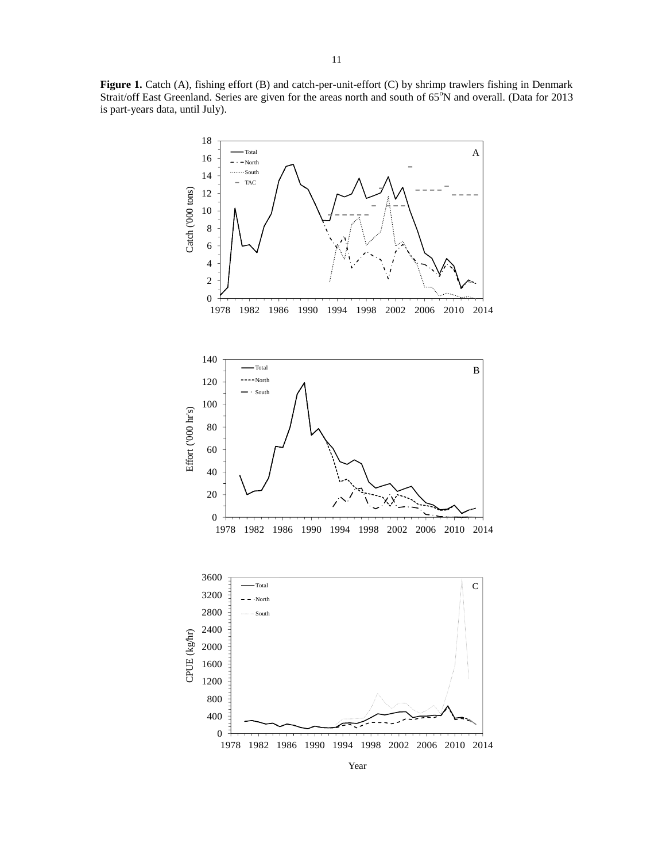**Figure 1.** Catch (A), fishing effort (B) and catch-per-unit-effort (C) by shrimp trawlers fishing in Denmark Strait/off East Greenland. Series are given for the areas north and south of 65<sup>°</sup>N and overall. (Data for 2013 is part-years data, until July).

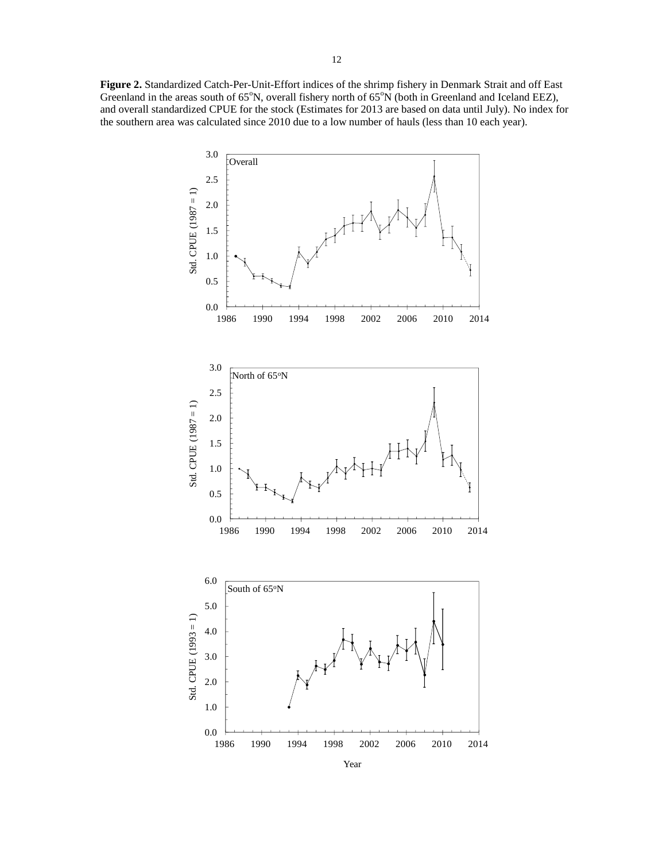**Figure 2.** Standardized Catch-Per-Unit-Effort indices of the shrimp fishery in Denmark Strait and off East Greenland in the areas south of  $65^\circ$ N, overall fishery north of  $65^\circ$ N (both in Greenland and Iceland EEZ), and overall standardized CPUE for the stock (Estimates for 2013 are based on data until July). No index for the southern area was calculated since 2010 due to a low number of hauls (less than 10 each year).

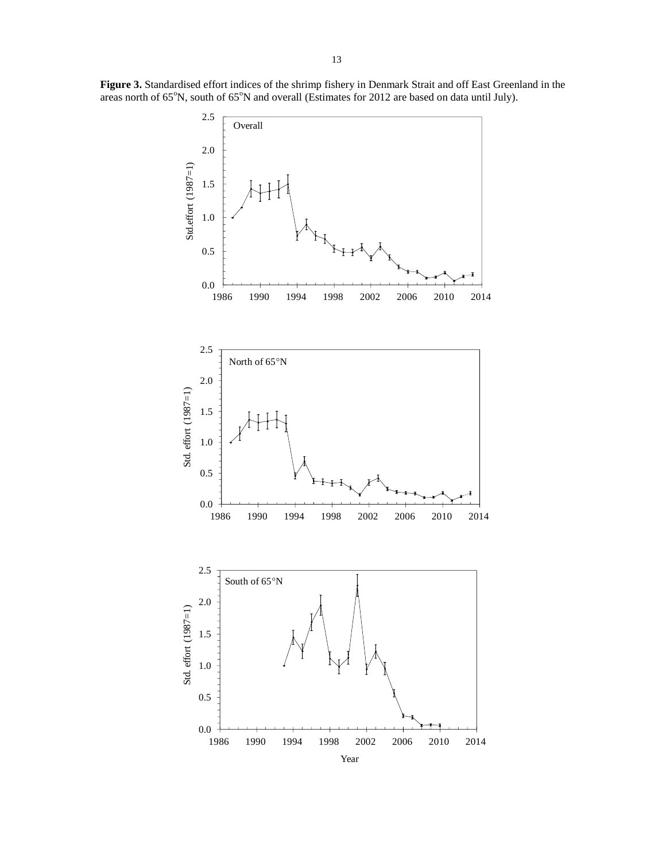**Figure 3.** Standardised effort indices of the shrimp fishery in Denmark Strait and off East Greenland in the areas north of 65°N, south of 65°N and overall (Estimates for 2012 are based on data until July).

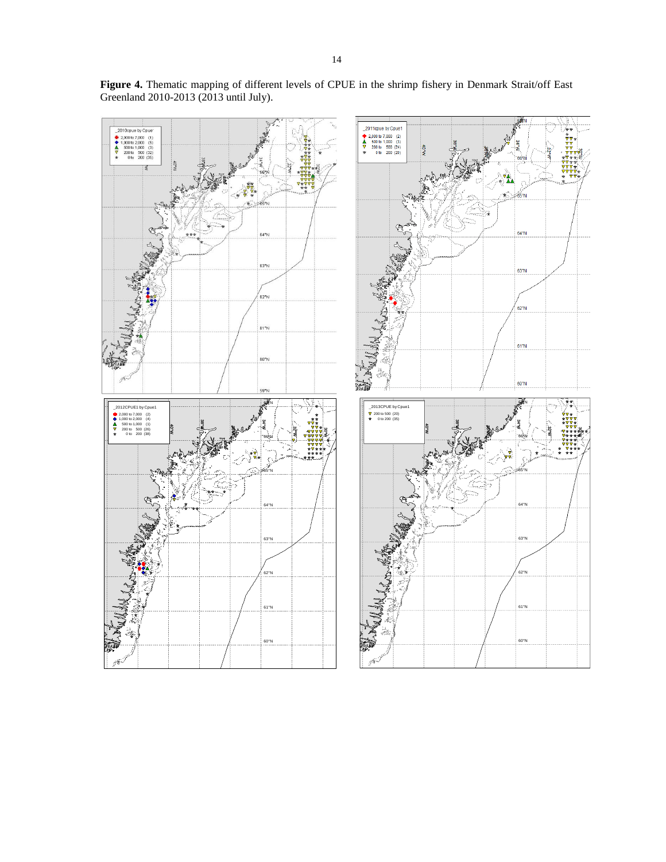

**Figure 4.** Thematic mapping of different levels of CPUE in the shrimp fishery in Denmark Strait/off East Greenland 2010-2013 (2013 until July).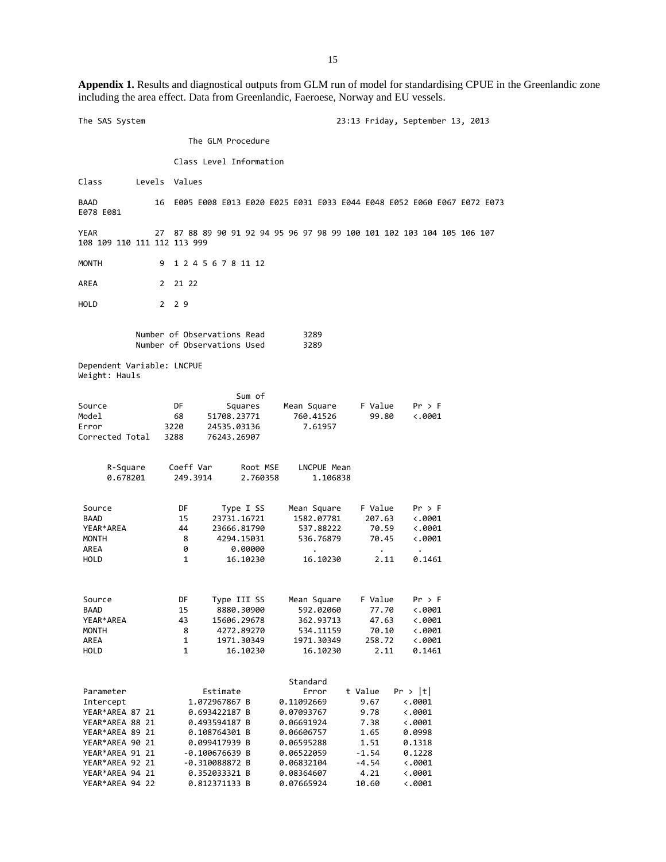**Appendix 1.** Results and diagnostical outputs from GLM run of model for standardising CPUE in the Greenlandic zone including the area effect. Data from Greenlandic, Faeroese, Norway and EU vessels.

The SAS System 23:13 Friday, September 13, 2013 The GLM Procedure Class Level Information Class Levels Values BAAD 16 E005 E008 E013 E020 E025 E031 E033 E044 E048 E052 E060 E067 E072 E073 E078 E081 YEAR 27 87 88 89 90 91 92 94 95 96 97 98 99 100 101 102 103 104 105 106 107 108 109 110 111 112 113 999 MONTH 9 1 2 4 5 6 7 8 11 12 AREA 2 21 22 HOLD 2 2 9 Number of Observations Read 3289<br>Number of Observations Used 3289 Number of Observations Used Dependent Variable: LNCPUE Weight: Hauls Sum of Source **Sum Sum of Source S** DF Squares Mean Square F Value Pr > F Model 68 51708.23771 760.41526 99.80 <.0001 3220 24535.03136 Corrected Total 3288 76243.26907 R-Square Coeff Var Root MSE LNCPUE Mean<br>0.678201 249.3914 2.760358 1.106838  $0.678201$ Source 50 DF Type I SS Mean Square F Value Pr > F BAAD 15 23731.16721 1582.07781 207.63 <.0001 23666.81790 MONTH 8 4294.15031 536.76879 70.45 <.0001 AREA 0 0.00000 . . . HOLD 1 16.10230 16.10230 2.11 0.1461 Source DF Type III SS Mean Square F Value Pr > F  $8880.30900$ YEAR\*AREA 43 15606.29678 362.93713 47.63 <.0001 MONTH 8 4272.89270 534.11159 70.10 <.0001 AREA 1 1971.30349 1971.30349 258.72 <.0001<br>HOLD 1 16.10230 16.10230 2.11 0.1461 16.10230 **Standard** Parameter Estimate Error t Value Pr > |t| 1.072967867 B 0.11092669 9.67 <.0001<br>0.693422187 B 0.07093767 9.78 <.0001 YEAR\*AREA 87 21 0.693422187 B 0.07093767 9.78 <.0001 YEAR\*AREA 88 21 0.493594187 B 0.06691924 7.38 <.0001 YEAR\*AREA 89 21 0.108764301 B 0.06606757 1.65 0.0998 YEAR\*AREA 90 21 0.099417939 B 0.06595288 1.51 0.1318 YEAR\*AREA 91 21 YEAR\*AREA 92 21 -0.310088872 B 0.06832104 -4.54 <.0001 YEAR\*AREA 94 21 0.352033321 B 0.08364607 4.21 <.0001 YEAR\*AREA 94 22 0.812371133 B 0.07665924 10.60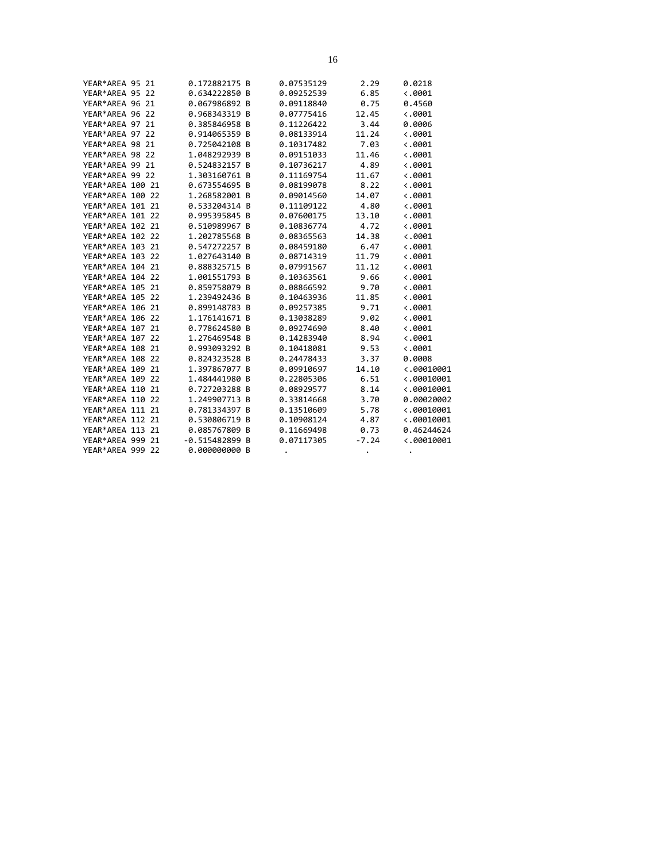| YEAR*AREA 95 21  |  | 0.172882175 B   | 0.07535129 | 2.29    | 0.0218              |
|------------------|--|-----------------|------------|---------|---------------------|
| YEAR*AREA 95 22  |  | 0.634222850 B   | 0.09252539 | 6.85    | $\langle .0001$     |
| YEAR*AREA 96 21  |  | 0.067986892 B   | 0.09118840 | 0.75    | 0.4560              |
| YEAR*AREA 96 22  |  | 0.968343319 B   | 0.07775416 | 12.45   | $\langle .0001$     |
| YEAR*AREA 97 21  |  | 0.385846958 B   | 0.11226422 | 3.44    | 0.0006              |
| YEAR*AREA 97 22  |  | 0.914065359 B   | 0.08133914 | 11.24   | $\langle .0001$     |
| YEAR*AREA 98 21  |  | 0.725042108 B   | 0.10317482 | 7.03    | $\langle .0001$     |
| YEAR*AREA 98 22  |  | 1.048292939 B   | 0.09151033 | 11.46   | $\langle .0001$     |
| YEAR*AREA 99 21  |  | 0.524832157 B   | 0.10736217 | 4.89    | $\langle .0001$     |
| YEAR*AREA 99 22  |  | 1.303160761 B   | 0.11169754 | 11.67   | $\langle .0001$     |
| YEAR*AREA 100 21 |  | 0.673554695 B   | 0.08199078 | 8.22    | $\langle .0001$     |
| YEAR*AREA 100 22 |  | 1.268582001 B   | 0.09014560 | 14.07   | $\langle .0001$     |
| YEAR*AREA 101 21 |  | 0.533204314 B   | 0.11109122 | 4.80    | $\ddotsc.0001$      |
| YEAR*AREA 101 22 |  | 0.995395845 B   | 0.07600175 | 13.10   | $\langle .0001$     |
| YEAR*AREA 102 21 |  | 0.510989967 B   | 0.10836774 | 4.72    | $\langle .0001$     |
| YEAR*AREA 102 22 |  | 1.202785568 B   | 0.08365563 | 14.38   | $\langle .0001$     |
| YEAR*AREA 103 21 |  | 0.547272257 B   | 0.08459180 | 6.47    | $\langle .0001$     |
| YEAR*AREA 103 22 |  | 1.027643140 B   | 0.08714319 | 11.79   | $\langle .0001$     |
| YEAR*AREA 104 21 |  | 0.888325715 B   | 0.07991567 | 11.12   | $\langle .0001$     |
| YEAR*AREA 104 22 |  | 1.001551793 B   | 0.10363561 | 9.66    | $\langle .0001$     |
| YEAR*AREA 105 21 |  | 0.859758079 B   | 0.08866592 | 9.70    | $\langle .0001$     |
| YEAR*AREA 105 22 |  | 1.239492436 B   | 0.10463936 | 11.85   | $\langle .0001$     |
| YEAR*AREA 106 21 |  | 0.899148783 B   | 0.09257385 | 9.71    | 0.0001              |
| YEAR*AREA 106 22 |  | 1.176141671 B   | 0.13038289 | 9.02    | $\langle .0001$     |
| YEAR*AREA 107 21 |  | 0.778624580 B   | 0.09274690 | 8.40    | $\langle .0001$     |
| YEAR*AREA 107 22 |  | 1.276469548 B   | 0.14283940 | 8.94    | $\langle .0001$     |
| YEAR*AREA 108 21 |  | 0.993093292 B   | 0.10418081 | 9.53    | $\langle .0001$     |
| YEAR*AREA 108 22 |  | 0.824323528 B   | 0.24478433 | 3.37    | 0.0008              |
| YEAR*AREA 109 21 |  | 1.397867077 B   | 0.09910697 | 14.10   | $\langle .00010001$ |
| YEAR*AREA 109 22 |  | 1.484441980 B   | 0.22805306 | 6.51    | $\langle .00010001$ |
| YEAR*AREA 110 21 |  | 0.727203288 B   | 0.08929577 | 8.14    | $\langle .00010001$ |
| YEAR*AREA 110 22 |  | 1.249907713 B   | 0.33814668 | 3.70    | 0.00020002          |
| YEAR*AREA 111 21 |  | 0.781334397 B   | 0.13510609 | 5.78    | $\langle .00010001$ |
| YEAR*AREA 112 21 |  | 0.530806719 B   | 0.10908124 | 4.87    | $\langle .00010001$ |
| YEAR*AREA 113 21 |  | 0.085767809 B   | 0.11669498 | 0.73    | 0.46244624          |
| YEAR*AREA 999 21 |  | $-0.515482899B$ | 0.07117305 | $-7.24$ | $\langle .00010001$ |
| YEAR*AREA 999 22 |  | 0.000000000 B   |            |         |                     |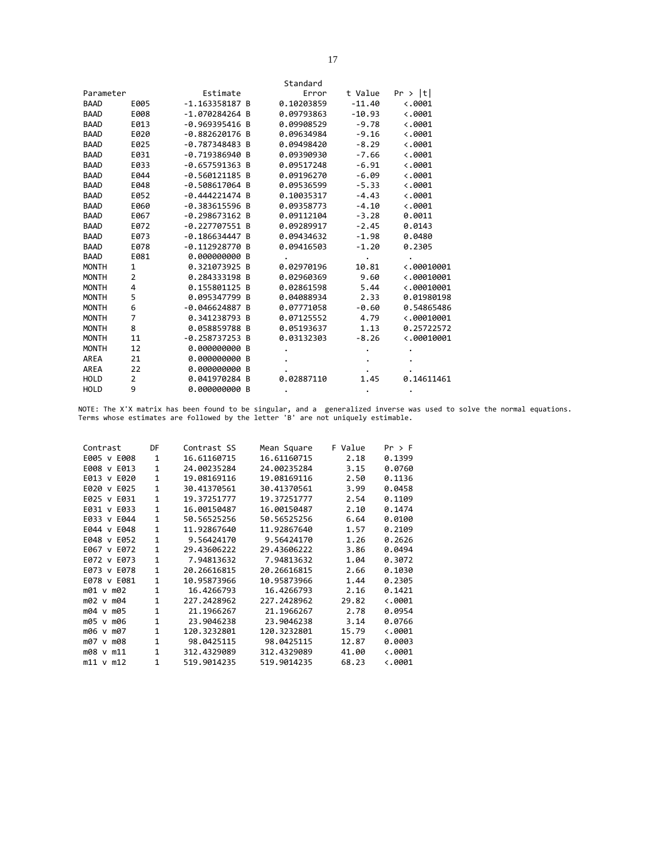|              |      |                  | Standard   |          |                     |
|--------------|------|------------------|------------|----------|---------------------|
| Parameter    |      | Estimate         | Error      | t Value  | Pr >  t             |
| <b>BAAD</b>  | E005 | $-1.163358187B$  | 0.10203859 | $-11.40$ | $\langle .0001$     |
| <b>BAAD</b>  | E008 | $-1.070284264$ B | 0.09793863 | $-10.93$ | $\langle .0001$     |
| <b>BAAD</b>  | E013 | $-0.969395416 B$ | 0.09908529 | $-9.78$  | $-.0001$            |
| <b>BAAD</b>  | E020 | $-0.882620176$ B | 0.09634984 | $-9.16$  | $\langle .0001$     |
| <b>BAAD</b>  | E025 | $-0.787348483B$  | 0.09498420 | $-8.29$  | $\langle .0001$     |
| <b>BAAD</b>  | E031 | $-0.719386940 B$ | 0.09390930 | $-7.66$  | $\langle .0001$     |
| <b>BAAD</b>  | E033 | $-0.657591363 B$ | 0.09517248 | $-6.91$  | $\langle .0001$     |
| <b>BAAD</b>  | E044 | $-0.560121185$ B | 0.09196270 | $-6.09$  | $\langle .0001$     |
| <b>BAAD</b>  | E048 | $-0.508617064$ B | 0.09536599 | $-5.33$  | $\langle .0001$     |
| <b>BAAD</b>  | E052 | $-0.444221474B$  | 0.10035317 | $-4.43$  | $\langle .0001$     |
| <b>BAAD</b>  | E060 | $-0.383615596$ B | 0.09358773 | $-4.10$  | $\langle .0001$     |
| <b>BAAD</b>  | E067 | $-0.298673162 B$ | 0.09112104 | $-3.28$  | 0.0011              |
| <b>BAAD</b>  | E072 | $-0.227707551 B$ | 0.09289917 | $-2.45$  | 0.0143              |
| <b>BAAD</b>  | E073 | $-0.186634447B$  | 0.09434632 | $-1.98$  | 0.0480              |
| <b>BAAD</b>  | E078 | $-0.112928770B$  | 0.09416503 | $-1.20$  | 0.2305              |
| <b>BAAD</b>  | E081 | 0.000000000 B    |            |          |                     |
| <b>MONTH</b> | 1    | 0.321073925 B    | 0.02970196 | 10.81    | $\langle .00010001$ |
| <b>MONTH</b> | 2    | 0.284333198 B    | 0.02960369 | 9.60     | $\langle .00010001$ |
| <b>MONTH</b> | 4    | 0.155801125 B    | 0.02861598 | 5.44     | $\langle .00010001$ |
| <b>MONTH</b> | 5    | 0.095347799 B    | 0.04088934 | 2.33     | 0.01980198          |
| <b>MONTH</b> | 6    | $-0.046624887B$  | 0.07771058 | $-0.60$  | 0.54865486          |
| <b>MONTH</b> | 7    | 0.341238793 B    | 0.07125552 | 4.79     | $\langle .00010001$ |
| <b>MONTH</b> | 8    | 0.058859788 B    | 0.05193637 | 1.13     | 0.25722572          |
| <b>MONTH</b> | 11   | $-0.258737253B$  | 0.03132303 | $-8.26$  | $\langle .00010001$ |
| <b>MONTH</b> | 12   | 0.000000000 B    |            |          |                     |
| AREA         | 21   | 0.000000000 B    |            |          |                     |
| AREA         | 22   | 0.000000000 B    |            |          |                     |
| <b>HOLD</b>  | 2    | 0.041970284 B    | 0.02887110 | 1.45     | 0.14611461          |
| <b>HOLD</b>  | 9    | 0.000000000B     |            |          |                     |

NOTE: The X'X matrix has been found to be singular, and a generalized inverse was used to solve the normal equations. Terms whose estimates are followed by the letter 'B' are not uniquely estimable.

| Contrast       | DF           | Contrast SS | Mean Square | F Value | Pr > F          |
|----------------|--------------|-------------|-------------|---------|-----------------|
| E005 v E008    | $\mathbf{1}$ | 16.61160715 | 16.61160715 | 2.18    | 0.1399          |
| E008 v<br>E013 | $\mathbf{1}$ | 24.00235284 | 24.00235284 | 3.15    | 0.0760          |
| E013 v E020    | $\mathbf{1}$ | 19.08169116 | 19.08169116 | 2.50    | 0.1136          |
| E020 v E025    | 1            | 30.41370561 | 30.41370561 | 3.99    | 0.0458          |
| E025 v<br>E031 | $\mathbf{1}$ | 19.37251777 | 19.37251777 | 2.54    | 0.1109          |
| E031 v E033    | 1            | 16.00150487 | 16.00150487 | 2.10    | 0.1474          |
| E033 v E044    | 1            | 50.56525256 | 50.56525256 | 6.64    | 0.0100          |
| E044 v<br>E048 | $\mathbf{1}$ | 11.92867640 | 11.92867640 | 1.57    | 0.2109          |
| E048 v<br>E052 | 1            | 9.56424170  | 9.56424170  | 1.26    | 0.2626          |
| E067 v E072    | 1            | 29.43606222 | 29.43606222 | 3.86    | 0.0494          |
| E072 v E073    | 1            | 7.94813632  | 7.94813632  | 1.04    | 0.3072          |
| E073 v<br>E078 | 1            | 20.26616815 | 20.26616815 | 2.66    | 0.1030          |
| E078 v E081    | 1            | 10.95873966 | 10.95873966 | 1.44    | 0.2305          |
| m01 v m02      | 1            | 16.4266793  | 16.4266793  | 2.16    | 0.1421          |
| m02 v m04      | 1            | 227.2428962 | 227.2428962 | 29.82   | $\langle .0001$ |
| m04 v m05      | 1            | 21.1966267  | 21.1966267  | 2.78    | 0.0954          |
| m05 v m06      | 1            | 23.9046238  | 23.9046238  | 3.14    | 0.0766          |
| m06 v m07      | 1            | 120.3232801 | 120.3232801 | 15.79   | $\langle .0001$ |
| m07 v<br>m08   | $\mathbf{1}$ | 98.0425115  | 98.0425115  | 12.87   | 0.0003          |
| m08 v m11      | $\mathbf{1}$ | 312.4329089 | 312.4329089 | 41.00   | $\langle .0001$ |
| $m11$ v $m12$  | 1            | 519.9014235 | 519.9014235 | 68.23   | $\langle .0001$ |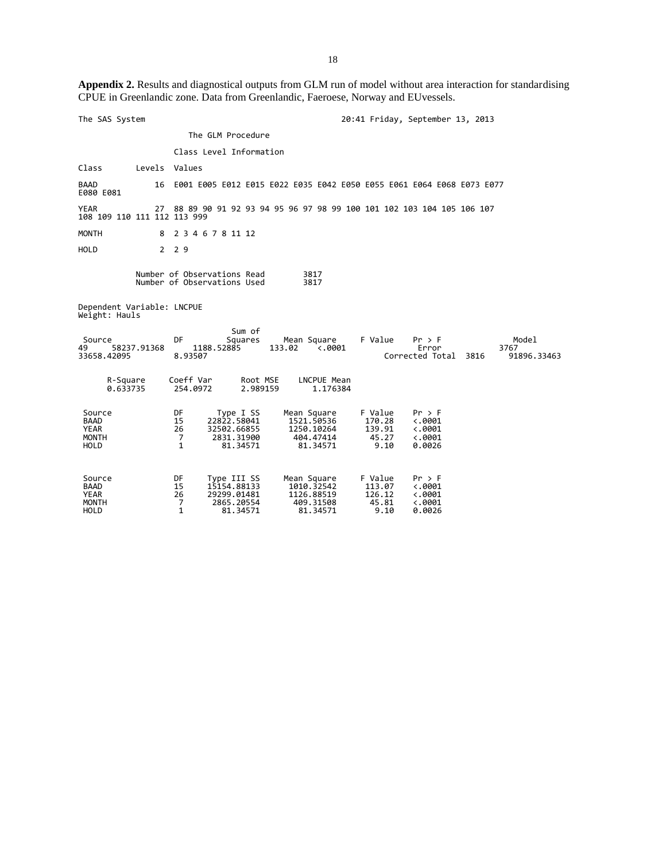**Appendix 2.** Results and diagnostical outputs from GLM run of model without area interaction for standardising CPUE in Greenlandic zone. Data from Greenlandic, Faeroese, Norway and EUvessels.

| The SAS System                                               |               |                          |                                                            |                                                                     |        |                                                                  |                                              | 20:41 Friday, September 13, 2013                                          |                              |
|--------------------------------------------------------------|---------------|--------------------------|------------------------------------------------------------|---------------------------------------------------------------------|--------|------------------------------------------------------------------|----------------------------------------------|---------------------------------------------------------------------------|------------------------------|
|                                                              |               |                          | The GLM Procedure                                          |                                                                     |        |                                                                  |                                              |                                                                           |                              |
|                                                              |               |                          | Class Level Information                                    |                                                                     |        |                                                                  |                                              |                                                                           |                              |
| Class                                                        | Levels Values |                          |                                                            |                                                                     |        |                                                                  |                                              |                                                                           |                              |
| <b>BAAD</b><br>E080 E081                                     |               |                          |                                                            |                                                                     |        |                                                                  |                                              | 16 E001 E005 E012 E015 E022 E035 E042 E050 E055 E061 E064 E068 E073 E077  |                              |
| YEAR<br>108 109 110 111 112 113 999                          |               |                          |                                                            |                                                                     |        |                                                                  |                                              | 27 88 89 90 91 92 93 94 95 96 97 98 99 100 101 102 103 104 105 106 107    |                              |
| <b>MONTH</b>                                                 |               |                          | 8 2 3 4 6 7 8 11 12                                        |                                                                     |        |                                                                  |                                              |                                                                           |                              |
| HOLD                                                         |               | 2 2 9                    |                                                            |                                                                     |        |                                                                  |                                              |                                                                           |                              |
|                                                              |               |                          | Number of Observations Read<br>Number of Observations Used |                                                                     |        | 3817<br>3817                                                     |                                              |                                                                           |                              |
| Dependent Variable: LNCPUE<br>Weight: Hauls                  |               |                          |                                                            |                                                                     |        |                                                                  |                                              |                                                                           |                              |
| Source<br>49<br>33658.42095                                  | 58237.91368   | DF                       | 1188.52885<br>8.93507                                      | Sum of<br>Squares                                                   | 133.02 | Mean Square<br>$\langle .0001 \rangle$                           | F Value                                      | Pr > F<br>Error<br>Corrected Total 3816                                   | Model<br>3767<br>91896.33463 |
| R-Square<br>0.633735                                         |               |                          | Coeff Var<br>254,0972                                      | Root MSE<br>2.989159                                                |        | LNCPUE Mean<br>1.176384                                          |                                              |                                                                           |                              |
| Source<br>BAAD<br><b>YEAR</b><br><b>MONTH</b><br><b>HOLD</b> |               | DF<br>15<br>26<br>7<br>1 |                                                            | Type I SS<br>22822.58041<br>32502.66855<br>2831.31900<br>81.34571   |        | Mean Square<br>1521.50536<br>1250.10264<br>404.47414<br>81.34571 | F Value<br>170.28<br>139.91<br>45.27<br>9.10 | Pr > F<br>$\langle .0001$<br>$\langle .0001$<br>$\langle .0001$<br>0.0026 |                              |
| Source<br><b>BAAD</b><br>YEAR<br>MONTH<br>HOLD               |               | DF<br>15<br>26<br>7<br>1 |                                                            | Type III SS<br>15154.88133<br>29299.01481<br>2865.20554<br>81.34571 |        | Mean Square<br>1010.32542<br>1126.88519<br>409.31508<br>81.34571 | F Value<br>113.07<br>126.12<br>45.81<br>9.10 | Pr > F<br>$\langle .0001$<br>$\langle .0001$<br>$\langle .0001$<br>0.0026 |                              |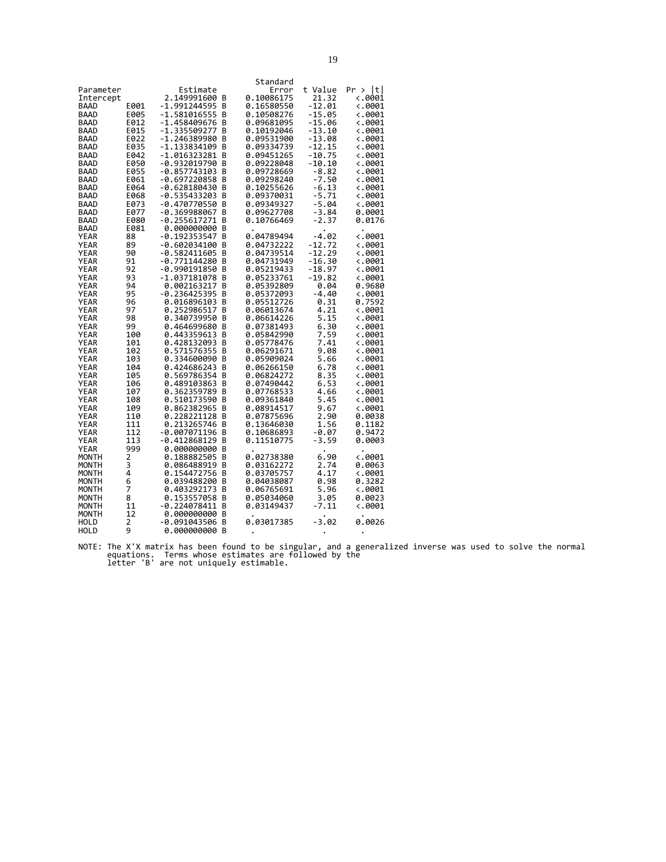| Standard<br>Estimate<br>t Value<br>Pr > Itl<br>Parameter<br>Error<br>2.149991600<br>0.10086175<br>21.32<br><.0001<br>Intercept<br>в<br>-1.991244595<br>E001<br>0.16580550<br>-12.01<br><.0001<br><b>BAAD</b><br>В<br>$-1.581016555$<br>$-15.05$<br>0.10508276<br><b>BAAD</b><br>E005<br>В<br>4.0001<br>-1.458409676<br>-15.06<br><b>BAAD</b><br>E012<br>В<br>0.09681095<br>$\langle .0001$<br>E015<br>-1.335509277<br>0.10192046<br>-13.10<br><b>BAAD</b><br>В<br><.0001<br>E022<br>-1.246389980<br>0.09531900<br>-13.08<br><b>BAAD</b><br>B<br><.0001<br>B<br>-12.15<br><b>BAAD</b><br>E035<br>-1.133834109<br>0.09334739<br>$\langle .0001$<br><b>BAAD</b><br>E042<br>-1.016323281<br>В<br>0.09451265<br>-10.75<br>4.0001<br><b>BAAD</b><br>E050<br>-0.932019790<br>В<br>0.09228048<br>-10.10<br><.0001<br>E055<br>$-0.857743103$<br>B<br>0.09728669<br>$-8.82$<br>$\ddotsc 0001$<br><b>BAAD</b><br>$-7.50$<br>E061<br>$-0.697220858$<br>0.09298240<br><b>BAAD</b><br>В<br>4.0001 |  |
|-------------------------------------------------------------------------------------------------------------------------------------------------------------------------------------------------------------------------------------------------------------------------------------------------------------------------------------------------------------------------------------------------------------------------------------------------------------------------------------------------------------------------------------------------------------------------------------------------------------------------------------------------------------------------------------------------------------------------------------------------------------------------------------------------------------------------------------------------------------------------------------------------------------------------------------------------------------------------------------|--|
|                                                                                                                                                                                                                                                                                                                                                                                                                                                                                                                                                                                                                                                                                                                                                                                                                                                                                                                                                                                     |  |
|                                                                                                                                                                                                                                                                                                                                                                                                                                                                                                                                                                                                                                                                                                                                                                                                                                                                                                                                                                                     |  |
|                                                                                                                                                                                                                                                                                                                                                                                                                                                                                                                                                                                                                                                                                                                                                                                                                                                                                                                                                                                     |  |
|                                                                                                                                                                                                                                                                                                                                                                                                                                                                                                                                                                                                                                                                                                                                                                                                                                                                                                                                                                                     |  |
|                                                                                                                                                                                                                                                                                                                                                                                                                                                                                                                                                                                                                                                                                                                                                                                                                                                                                                                                                                                     |  |
|                                                                                                                                                                                                                                                                                                                                                                                                                                                                                                                                                                                                                                                                                                                                                                                                                                                                                                                                                                                     |  |
|                                                                                                                                                                                                                                                                                                                                                                                                                                                                                                                                                                                                                                                                                                                                                                                                                                                                                                                                                                                     |  |
|                                                                                                                                                                                                                                                                                                                                                                                                                                                                                                                                                                                                                                                                                                                                                                                                                                                                                                                                                                                     |  |
|                                                                                                                                                                                                                                                                                                                                                                                                                                                                                                                                                                                                                                                                                                                                                                                                                                                                                                                                                                                     |  |
|                                                                                                                                                                                                                                                                                                                                                                                                                                                                                                                                                                                                                                                                                                                                                                                                                                                                                                                                                                                     |  |
|                                                                                                                                                                                                                                                                                                                                                                                                                                                                                                                                                                                                                                                                                                                                                                                                                                                                                                                                                                                     |  |
|                                                                                                                                                                                                                                                                                                                                                                                                                                                                                                                                                                                                                                                                                                                                                                                                                                                                                                                                                                                     |  |
| -0.628180430<br>0.10255626<br>$-6.13$<br><b>BAAD</b><br>E064<br>B<br><.0001                                                                                                                                                                                                                                                                                                                                                                                                                                                                                                                                                                                                                                                                                                                                                                                                                                                                                                         |  |
| E068<br>-0.535433203<br>B<br>0.09370031<br>$-5.71$<br>$\overline{\phantom{0}}$ . 9001<br><b>BAAD</b>                                                                                                                                                                                                                                                                                                                                                                                                                                                                                                                                                                                                                                                                                                                                                                                                                                                                                |  |
| $-5.04$<br><b>BAAD</b><br>E073<br>-0.470770550<br>В<br>0.09349327<br><.0001                                                                                                                                                                                                                                                                                                                                                                                                                                                                                                                                                                                                                                                                                                                                                                                                                                                                                                         |  |
| <b>BAAD</b><br>E077<br>-0.369988067<br>В<br>0.09627708<br>-3.84<br>0.0001                                                                                                                                                                                                                                                                                                                                                                                                                                                                                                                                                                                                                                                                                                                                                                                                                                                                                                           |  |
| $-0.255617271$<br><b>BAAD</b><br>E080<br>B<br>0.10766469<br>-2.37<br>0.0176                                                                                                                                                                                                                                                                                                                                                                                                                                                                                                                                                                                                                                                                                                                                                                                                                                                                                                         |  |
| E081<br>0.000000000<br>BAAD<br>в                                                                                                                                                                                                                                                                                                                                                                                                                                                                                                                                                                                                                                                                                                                                                                                                                                                                                                                                                    |  |
| 0.04789494<br>$-0.192353547$<br>-4.02<br>4.0001<br><b>YEAR</b><br>88<br>В                                                                                                                                                                                                                                                                                                                                                                                                                                                                                                                                                                                                                                                                                                                                                                                                                                                                                                           |  |
| <b>YEAR</b><br>89<br>$-0.602034100$<br>0.04732222<br>-12.72<br>В<br>4.0001                                                                                                                                                                                                                                                                                                                                                                                                                                                                                                                                                                                                                                                                                                                                                                                                                                                                                                          |  |
| <b>YEAR</b><br>90<br>$-0.582411605$<br>0.04739514<br>$-12.29$<br>$\overline{\phantom{0}}$ . 0001<br>B                                                                                                                                                                                                                                                                                                                                                                                                                                                                                                                                                                                                                                                                                                                                                                                                                                                                               |  |
| $-0.771144280$<br>B<br>0.04731949<br>-16.30<br><b>YEAR</b><br>91<br><.0001                                                                                                                                                                                                                                                                                                                                                                                                                                                                                                                                                                                                                                                                                                                                                                                                                                                                                                          |  |
| 92<br>-0.990191850<br>0.05219433<br>-18.97<br><b>YEAR</b><br>B<br>4.0001<br>93<br>-19.82<br><b>YEAR</b><br>-1.037181078<br>В<br>0.05233761<br><.0001                                                                                                                                                                                                                                                                                                                                                                                                                                                                                                                                                                                                                                                                                                                                                                                                                                |  |
| 0.05392809<br><b>YEAR</b><br>94<br>0.002163217<br>В<br>0.04<br>0.9680                                                                                                                                                                                                                                                                                                                                                                                                                                                                                                                                                                                                                                                                                                                                                                                                                                                                                                               |  |
| 95<br>0.05372093<br><b>YEAR</b><br>$-0.236425395$<br>-4.40<br>в<br>4.0001                                                                                                                                                                                                                                                                                                                                                                                                                                                                                                                                                                                                                                                                                                                                                                                                                                                                                                           |  |
| <b>YEAR</b><br>96<br>0.016896103<br>0.05512726<br>0.31<br>0.7592<br>В                                                                                                                                                                                                                                                                                                                                                                                                                                                                                                                                                                                                                                                                                                                                                                                                                                                                                                               |  |
| <b>YEAR</b><br>97<br>0.252986517<br>B<br>0.06013674<br>4.21<br>$\langle .0001$                                                                                                                                                                                                                                                                                                                                                                                                                                                                                                                                                                                                                                                                                                                                                                                                                                                                                                      |  |
| 5.15<br><b>YEAR</b><br>98<br>0.340739950<br>0.06614226<br>В<br><.0001                                                                                                                                                                                                                                                                                                                                                                                                                                                                                                                                                                                                                                                                                                                                                                                                                                                                                                               |  |
| 6.30<br><b>YEAR</b><br>99<br>0.464699680<br>B<br>0.07381493<br><.0001                                                                                                                                                                                                                                                                                                                                                                                                                                                                                                                                                                                                                                                                                                                                                                                                                                                                                                               |  |
| 0.443359613<br>0.05842990<br>7.59<br><b>YEAR</b><br>100<br>В<br><.0001                                                                                                                                                                                                                                                                                                                                                                                                                                                                                                                                                                                                                                                                                                                                                                                                                                                                                                              |  |
| <b>YEAR</b><br>0.428132093<br>7.41<br>B<br>0.05778476<br><.0001<br>101                                                                                                                                                                                                                                                                                                                                                                                                                                                                                                                                                                                                                                                                                                                                                                                                                                                                                                              |  |
| <b>YEAR</b><br>0.571576355<br>В<br>0.06291671<br>9.08<br>102<br>4.0001                                                                                                                                                                                                                                                                                                                                                                                                                                                                                                                                                                                                                                                                                                                                                                                                                                                                                                              |  |
| 5.66<br>YEAR<br>0.334600090<br>0.05909024<br>103<br>в<br>4.0001                                                                                                                                                                                                                                                                                                                                                                                                                                                                                                                                                                                                                                                                                                                                                                                                                                                                                                                     |  |
| <b>YEAR</b><br>0.424686243<br>0.06266150<br>6.78<br>$\langle .0001$<br>104<br>В                                                                                                                                                                                                                                                                                                                                                                                                                                                                                                                                                                                                                                                                                                                                                                                                                                                                                                     |  |
| YEAR<br>0.569786354<br>B<br>0.06824272<br>8.35<br>105<br><.0001                                                                                                                                                                                                                                                                                                                                                                                                                                                                                                                                                                                                                                                                                                                                                                                                                                                                                                                     |  |
| 0.489103863<br>0.07490442<br>6.53<br>YEAR<br>106<br>В<br>6.0001                                                                                                                                                                                                                                                                                                                                                                                                                                                                                                                                                                                                                                                                                                                                                                                                                                                                                                                     |  |
| <b>YEAR</b><br>0.362359789<br>107<br>B<br>0.07768533<br>4.66<br><.0001                                                                                                                                                                                                                                                                                                                                                                                                                                                                                                                                                                                                                                                                                                                                                                                                                                                                                                              |  |
| 0.510173590<br>B<br>0.09361840<br><b>YEAR</b><br>108<br>5.45<br><.0001                                                                                                                                                                                                                                                                                                                                                                                                                                                                                                                                                                                                                                                                                                                                                                                                                                                                                                              |  |
| 9.67<br>YEAR<br>109<br>0.862382965<br>0.08914517<br><.0001<br>в                                                                                                                                                                                                                                                                                                                                                                                                                                                                                                                                                                                                                                                                                                                                                                                                                                                                                                                     |  |
| 2.90<br><b>YEAR</b><br>0.228221128<br>0.07875696<br>0.0038<br>110<br>В                                                                                                                                                                                                                                                                                                                                                                                                                                                                                                                                                                                                                                                                                                                                                                                                                                                                                                              |  |
| <b>YEAR</b><br>111<br>0.213265746<br>В<br>0.13646030<br>1.56<br>0.1182                                                                                                                                                                                                                                                                                                                                                                                                                                                                                                                                                                                                                                                                                                                                                                                                                                                                                                              |  |
| <b>YEAR</b><br>112<br>$-0.007071196$<br>$-0.07$<br>0.9472<br>В<br>0.10686893                                                                                                                                                                                                                                                                                                                                                                                                                                                                                                                                                                                                                                                                                                                                                                                                                                                                                                        |  |
| <b>YEAR</b><br>113<br>-0.412868129<br>В<br>0.11510775<br>-3.59<br>0.0003<br>YEAR<br>999<br>0.000000000<br>B                                                                                                                                                                                                                                                                                                                                                                                                                                                                                                                                                                                                                                                                                                                                                                                                                                                                         |  |
| 6.90<br>2<br>0.188882505<br>0.02738380<br>$\langle .0001$<br>MONTH<br>В                                                                                                                                                                                                                                                                                                                                                                                                                                                                                                                                                                                                                                                                                                                                                                                                                                                                                                             |  |
| 3<br>MONTH<br>0.086488919<br>В<br>0.03162272<br>2.74<br>0.0063                                                                                                                                                                                                                                                                                                                                                                                                                                                                                                                                                                                                                                                                                                                                                                                                                                                                                                                      |  |
| 4<br>0.03705757<br>4.17<br>MONTH<br>0.154472756<br>B<br>4.0001                                                                                                                                                                                                                                                                                                                                                                                                                                                                                                                                                                                                                                                                                                                                                                                                                                                                                                                      |  |
| 0.98<br>MONTH<br>6<br>0.039488200<br>0.04038087<br>0.3282<br>в                                                                                                                                                                                                                                                                                                                                                                                                                                                                                                                                                                                                                                                                                                                                                                                                                                                                                                                      |  |
| MONTH<br>7<br>0.403292173<br>В<br>0.06765691<br>5.96<br><.0001                                                                                                                                                                                                                                                                                                                                                                                                                                                                                                                                                                                                                                                                                                                                                                                                                                                                                                                      |  |
| 0.153557058<br>0.05034060<br>3.05<br>MONTH<br>8<br>В<br>0.0023                                                                                                                                                                                                                                                                                                                                                                                                                                                                                                                                                                                                                                                                                                                                                                                                                                                                                                                      |  |
| 11<br>0.03149437<br>$-7.11$<br>$\overline{\phantom{0}}$ . 9001<br><b>MONTH</b><br>-0.224078411<br>В                                                                                                                                                                                                                                                                                                                                                                                                                                                                                                                                                                                                                                                                                                                                                                                                                                                                                 |  |
| 0.000000000<br>MONTH<br>12<br>В                                                                                                                                                                                                                                                                                                                                                                                                                                                                                                                                                                                                                                                                                                                                                                                                                                                                                                                                                     |  |
| $-3.02$<br>2<br>0.03017385<br>0.0026<br><b>HOLD</b><br>-0.091043506<br>в                                                                                                                                                                                                                                                                                                                                                                                                                                                                                                                                                                                                                                                                                                                                                                                                                                                                                                            |  |
| HOLD<br>9<br>0.000000000<br>в                                                                                                                                                                                                                                                                                                                                                                                                                                                                                                                                                                                                                                                                                                                                                                                                                                                                                                                                                       |  |

NOTE: The X'X matrix has been found to be singular, and a generalized inverse was used to solve the normal equations. Terms whose estimates are followed by the letter 'B' are not uniquely estimable.